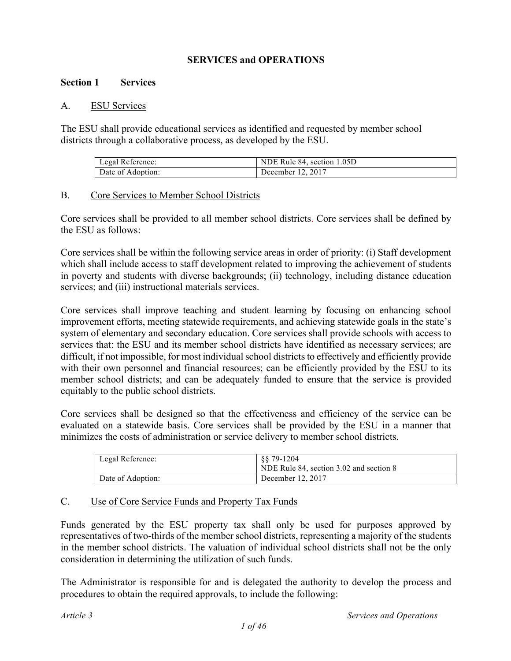## **SERVICES and OPERATIONS**

#### **Section 1 Services**

#### A. ESU Services

The ESU shall provide educational services as identified and requested by member school districts through a collaborative process, as developed by the ESU.

| Legal Reference:  | NDE Rule 84, section 1.05D |
|-------------------|----------------------------|
| Date of Adoption: | December 12, 2017          |

#### B. Core Services to Member School Districts

Core services shall be provided to all member school districts. Core services shall be defined by the ESU as follows:

Core services shall be within the following service areas in order of priority: (i) Staff development which shall include access to staff development related to improving the achievement of students in poverty and students with diverse backgrounds; (ii) technology, including distance education services; and (iii) instructional materials services.

Core services shall improve teaching and student learning by focusing on enhancing school improvement efforts, meeting statewide requirements, and achieving statewide goals in the state's system of elementary and secondary education. Core services shall provide schools with access to services that: the ESU and its member school districts have identified as necessary services; are difficult, if not impossible, for most individual school districts to effectively and efficiently provide with their own personnel and financial resources; can be efficiently provided by the ESU to its member school districts; and can be adequately funded to ensure that the service is provided equitably to the public school districts.

Core services shall be designed so that the effectiveness and efficiency of the service can be evaluated on a statewide basis. Core services shall be provided by the ESU in a manner that minimizes the costs of administration or service delivery to member school districts.

| Legal Reference:  | \$\$79-1204<br>NDE Rule 84, section 3.02 and section 8 |
|-------------------|--------------------------------------------------------|
| Date of Adoption: | December 12, 2017                                      |

#### C. Use of Core Service Funds and Property Tax Funds

Funds generated by the ESU property tax shall only be used for purposes approved by representatives of two-thirds of the member school districts, representing a majority of the students in the member school districts. The valuation of individual school districts shall not be the only consideration in determining the utilization of such funds.

The Administrator is responsible for and is delegated the authority to develop the process and procedures to obtain the required approvals, to include the following: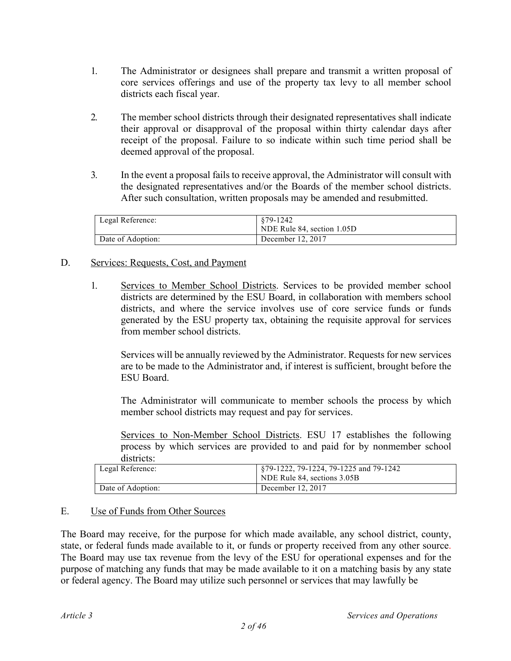- 1. The Administrator or designees shall prepare and transmit a written proposal of core services offerings and use of the property tax levy to all member school districts each fiscal year.
- 2. The member school districts through their designated representatives shall indicate their approval or disapproval of the proposal within thirty calendar days after receipt of the proposal. Failure to so indicate within such time period shall be deemed approval of the proposal.
- 3. In the event a proposal fails to receive approval, the Administrator will consult with the designated representatives and/or the Boards of the member school districts. After such consultation, written proposals may be amended and resubmitted.

| Legal Reference:  | 879-1242<br>NDE Rule 84, section 1.05D |
|-------------------|----------------------------------------|
| Date of Adoption: | December 12, 2017                      |

## D. Services: Requests, Cost, and Payment

1. Services to Member School Districts. Services to be provided member school districts are determined by the ESU Board, in collaboration with members school districts, and where the service involves use of core service funds or funds generated by the ESU property tax, obtaining the requisite approval for services from member school districts.

Services will be annually reviewed by the Administrator. Requests for new services are to be made to the Administrator and, if interest is sufficient, brought before the ESU Board.

The Administrator will communicate to member schools the process by which member school districts may request and pay for services.

Services to Non-Member School Districts. ESU 17 establishes the following process by which services are provided to and paid for by nonmember school districts:

| Legal Reference:  | §79-1222, 79-1224, 79-1225 and 79-1242 |
|-------------------|----------------------------------------|
|                   | NDE Rule 84, sections 3.05B            |
| Date of Adoption: | December 12, 2017                      |

## E. Use of Funds from Other Sources

The Board may receive, for the purpose for which made available, any school district, county, state, or federal funds made available to it, or funds or property received from any other source. The Board may use tax revenue from the levy of the ESU for operational expenses and for the purpose of matching any funds that may be made available to it on a matching basis by any state or federal agency. The Board may utilize such personnel or services that may lawfully be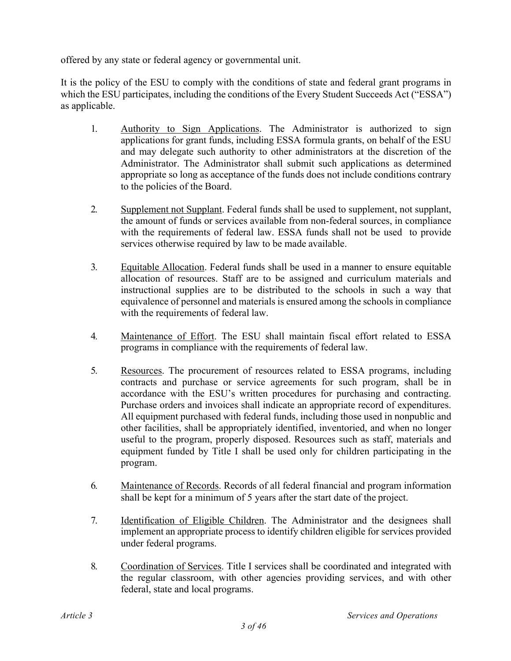offered by any state or federal agency or governmental unit.

It is the policy of the ESU to comply with the conditions of state and federal grant programs in which the ESU participates, including the conditions of the Every Student Succeeds Act ("ESSA") as applicable.

- 1. Authority to Sign Applications. The Administrator is authorized to sign applications for grant funds, including ESSA formula grants, on behalf of the ESU and may delegate such authority to other administrators at the discretion of the Administrator. The Administrator shall submit such applications as determined appropriate so long as acceptance of the funds does not include conditions contrary to the policies of the Board.
- 2. Supplement not Supplant. Federal funds shall be used to supplement, not supplant, the amount of funds or services available from non-federal sources, in compliance with the requirements of federal law. ESSA funds shall not be used to provide services otherwise required by law to be made available.
- 3. Equitable Allocation. Federal funds shall be used in a manner to ensure equitable allocation of resources. Staff are to be assigned and curriculum materials and instructional supplies are to be distributed to the schools in such a way that equivalence of personnel and materials is ensured among the schools in compliance with the requirements of federal law.
- 4. Maintenance of Effort. The ESU shall maintain fiscal effort related to ESSA programs in compliance with the requirements of federal law.
- 5. Resources. The procurement of resources related to ESSA programs, including contracts and purchase or service agreements for such program, shall be in accordance with the ESU's written procedures for purchasing and contracting. Purchase orders and invoices shall indicate an appropriate record of expenditures. All equipment purchased with federal funds, including those used in nonpublic and other facilities, shall be appropriately identified, inventoried, and when no longer useful to the program, properly disposed. Resources such as staff, materials and equipment funded by Title I shall be used only for children participating in the program.
- 6. Maintenance of Records. Records of all federal financial and program information shall be kept for a minimum of 5 years after the start date of the project.
- 7. Identification of Eligible Children. The Administrator and the designees shall implement an appropriate process to identify children eligible for services provided under federal programs.
- 8. Coordination of Services. Title I services shall be coordinated and integrated with the regular classroom, with other agencies providing services, and with other federal, state and local programs.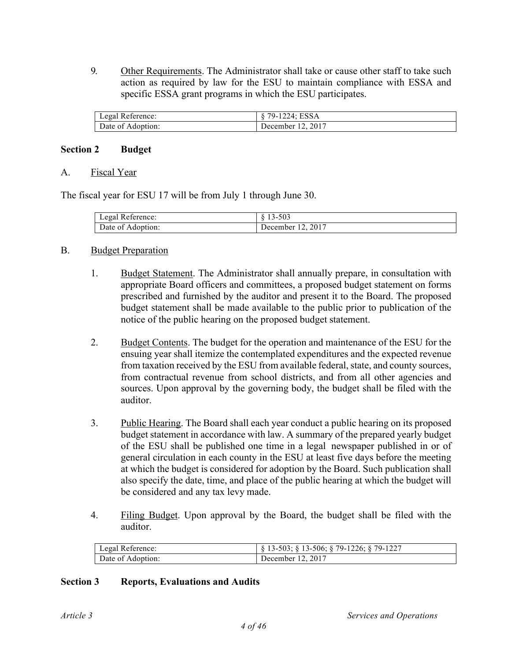9. Other Requirements. The Administrator shall take or cause other staff to take such action as required by law for the ESU to maintain compliance with ESSA and specific ESSA grant programs in which the ESU participates.

| Legal Reference:  | $79 - 1$<br>24: ESSA |
|-------------------|----------------------|
| Date of Adoption: | December 12, 2017    |

## **Section 2 Budget**

#### A. Fiscal Year

The fiscal year for ESU 17 will be from July 1 through June 30.

| Legal Reference:  | -503<br>$1.3 - 7$ |
|-------------------|-------------------|
| Date of Adoption: | December 12, 2017 |

## B. Budget Preparation

- 1. Budget Statement. The Administrator shall annually prepare, in consultation with appropriate Board officers and committees, a proposed budget statement on forms prescribed and furnished by the auditor and present it to the Board. The proposed budget statement shall be made available to the public prior to publication of the notice of the public hearing on the proposed budget statement.
- 2. Budget Contents. The budget for the operation and maintenance of the ESU for the ensuing year shall itemize the contemplated expenditures and the expected revenue from taxation received by the ESU from available federal, state, and county sources, from contractual revenue from school districts, and from all other agencies and sources. Upon approval by the governing body, the budget shall be filed with the auditor.
- 3. Public Hearing. The Board shall each year conduct a public hearing on its proposed budget statement in accordance with law. A summary of the prepared yearly budget of the ESU shall be published one time in a legal newspaper published in or of general circulation in each county in the ESU at least five days before the meeting at which the budget is considered for adoption by the Board. Such publication shall also specify the date, time, and place of the public hearing at which the budget will be considered and any tax levy made.
- 4. Filing Budget. Upon approval by the Board, the budget shall be filed with the auditor.

| Legal Reference:  | $\S$ 13-503; $\S$ 13-506; $\S$ 79-1226; $\S$ 79-1227 |
|-------------------|------------------------------------------------------|
| Date of Adoption: | December 12, 2017                                    |

#### **Section 3 Reports, Evaluations and Audits**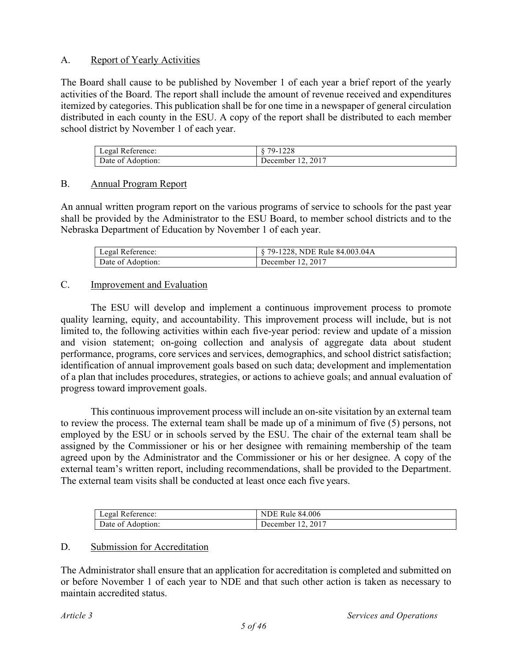## A. Report of Yearly Activities

The Board shall cause to be published by November 1 of each year a brief report of the yearly activities of the Board. The report shall include the amount of revenue received and expenditures itemized by categories. This publication shall be for one time in a newspaper of general circulation distributed in each county in the ESU. A copy of the report shall be distributed to each member school district by November 1 of each year.

| Legal Reference:  | 1228<br>79-<br>$\circ$ |
|-------------------|------------------------|
| Date of Adoption: | December 12, 2017      |

## B. Annual Program Report

An annual written program report on the various programs of service to schools for the past year shall be provided by the Administrator to the ESU Board, to member school districts and to the Nebraska Department of Education by November 1 of each year.

| Legal Reference:  | § 79-1228, NDE Rule 84.003.04A |
|-------------------|--------------------------------|
| Date of Adoption: | December 12, 2017              |

## C. Improvement and Evaluation

The ESU will develop and implement a continuous improvement process to promote quality learning, equity, and accountability. This improvement process will include, but is not limited to, the following activities within each five-year period: review and update of a mission and vision statement; on-going collection and analysis of aggregate data about student performance, programs, core services and services, demographics, and school district satisfaction; identification of annual improvement goals based on such data; development and implementation of a plan that includes procedures, strategies, or actions to achieve goals; and annual evaluation of progress toward improvement goals.

This continuous improvement process will include an on-site visitation by an external team to review the process. The external team shall be made up of a minimum of five (5) persons, not employed by the ESU or in schools served by the ESU. The chair of the external team shall be assigned by the Commissioner or his or her designee with remaining membership of the team agreed upon by the Administrator and the Commissioner or his or her designee. A copy of the external team's written report, including recommendations, shall be provided to the Department. The external team visits shall be conducted at least once each five years.

| Legal Reference:  | <b>NDE Rule 84.006</b> |
|-------------------|------------------------|
| Date of Adoption: | December 12, 2017      |

#### D. Submission for Accreditation

The Administrator shall ensure that an application for accreditation is completed and submitted on or before November 1 of each year to NDE and that such other action is taken as necessary to maintain accredited status.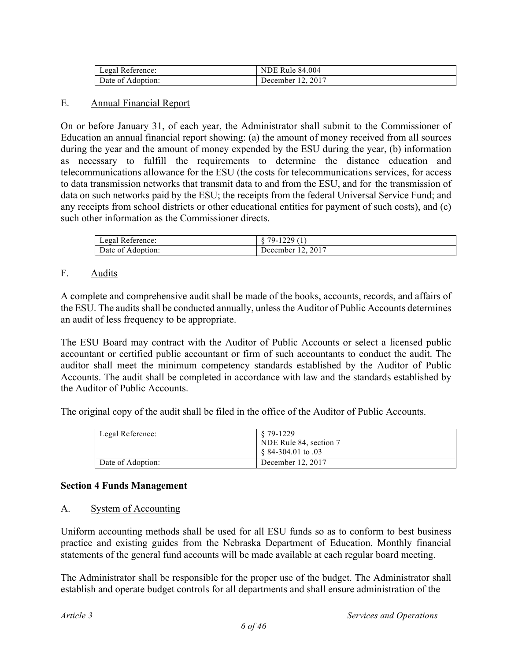| Legal Reference:  | <b>NDE Rule 84.004</b> |
|-------------------|------------------------|
| Date of Adoption: | December 12, 2017      |

## E. Annual Financial Report

On or before January 31, of each year, the Administrator shall submit to the Commissioner of Education an annual financial report showing: (a) the amount of money received from all sources during the year and the amount of money expended by the ESU during the year, (b) information as necessary to fulfill the requirements to determine the distance education and telecommunications allowance for the ESU (the costs for telecommunications services, for access to data transmission networks that transmit data to and from the ESU, and for the transmission of data on such networks paid by the ESU; the receipts from the federal Universal Service Fund; and any receipts from school districts or other educational entities for payment of such costs), and (c) such other information as the Commissioner directs.

| Legal Reference:  | $79-$<br>u<br>$\overline{1}$ |
|-------------------|------------------------------|
| Date of Adoption: | December 12, 2017            |

## F. Audits

A complete and comprehensive audit shall be made of the books, accounts, records, and affairs of the ESU. The audits shall be conducted annually, unless the Auditor of Public Accounts determines an audit of less frequency to be appropriate.

The ESU Board may contract with the Auditor of Public Accounts or select a licensed public accountant or certified public accountant or firm of such accountants to conduct the audit. The auditor shall meet the minimum competency standards established by the Auditor of Public Accounts. The audit shall be completed in accordance with law and the standards established by the Auditor of Public Accounts.

The original copy of the audit shall be filed in the office of the Auditor of Public Accounts.

| Legal Reference:  | 8 79-1229<br>NDE Rule 84, section 7<br>$\frac{84-304.01}{60}$ to .03 |
|-------------------|----------------------------------------------------------------------|
| Date of Adoption: | December 12, 2017                                                    |

#### **Section 4 Funds Management**

#### A. System of Accounting

Uniform accounting methods shall be used for all ESU funds so as to conform to best business practice and existing guides from the Nebraska Department of Education. Monthly financial statements of the general fund accounts will be made available at each regular board meeting.

The Administrator shall be responsible for the proper use of the budget. The Administrator shall establish and operate budget controls for all departments and shall ensure administration of the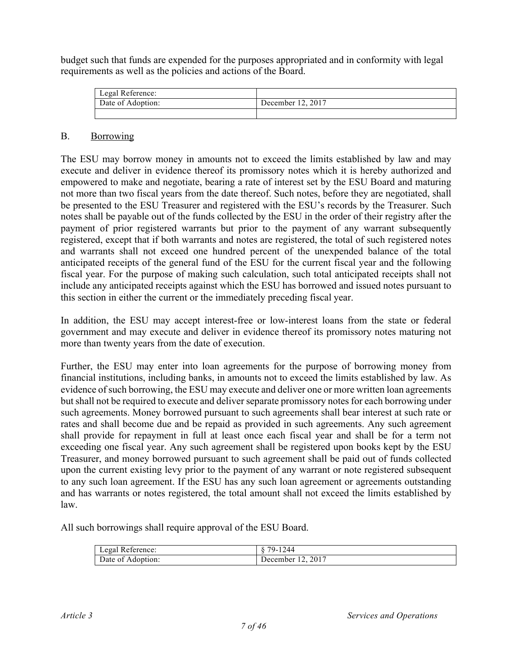budget such that funds are expended for the purposes appropriated and in conformity with legal requirements as well as the policies and actions of the Board.

| Legal Reference:  |                   |
|-------------------|-------------------|
| Date of Adoption: | December 12, 2017 |
|                   |                   |

## B. Borrowing

The ESU may borrow money in amounts not to exceed the limits established by law and may execute and deliver in evidence thereof its promissory notes which it is hereby authorized and empowered to make and negotiate, bearing a rate of interest set by the ESU Board and maturing not more than two fiscal years from the date thereof. Such notes, before they are negotiated, shall be presented to the ESU Treasurer and registered with the ESU's records by the Treasurer. Such notes shall be payable out of the funds collected by the ESU in the order of their registry after the payment of prior registered warrants but prior to the payment of any warrant subsequently registered, except that if both warrants and notes are registered, the total of such registered notes and warrants shall not exceed one hundred percent of the unexpended balance of the total anticipated receipts of the general fund of the ESU for the current fiscal year and the following fiscal year. For the purpose of making such calculation, such total anticipated receipts shall not include any anticipated receipts against which the ESU has borrowed and issued notes pursuant to this section in either the current or the immediately preceding fiscal year.

In addition, the ESU may accept interest-free or low-interest loans from the state or federal government and may execute and deliver in evidence thereof its promissory notes maturing not more than twenty years from the date of execution.

Further, the ESU may enter into loan agreements for the purpose of borrowing money from financial institutions, including banks, in amounts not to exceed the limits established by law. As evidence of such borrowing, the ESU may execute and deliver one or more written loan agreements but shall not be required to execute and deliver separate promissory notes for each borrowing under such agreements. Money borrowed pursuant to such agreements shall bear interest at such rate or rates and shall become due and be repaid as provided in such agreements. Any such agreement shall provide for repayment in full at least once each fiscal year and shall be for a term not exceeding one fiscal year. Any such agreement shall be registered upon books kept by the ESU Treasurer, and money borrowed pursuant to such agreement shall be paid out of funds collected upon the current existing levy prior to the payment of any warrant or note registered subsequent to any such loan agreement. If the ESU has any such loan agreement or agreements outstanding and has warrants or notes registered, the total amount shall not exceed the limits established by law.

All such borrowings shall require approval of the ESU Board.

| Legal Reference:  | $-1244$<br>79-    |
|-------------------|-------------------|
| Date of Adoption: | December 12, 2017 |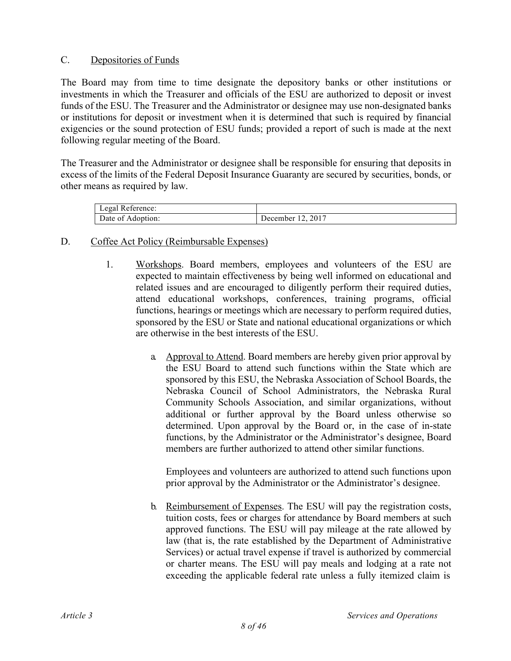## C. Depositories of Funds

The Board may from time to time designate the depository banks or other institutions or investments in which the Treasurer and officials of the ESU are authorized to deposit or invest funds of the ESU. The Treasurer and the Administrator or designee may use non-designated banks or institutions for deposit or investment when it is determined that such is required by financial exigencies or the sound protection of ESU funds; provided a report of such is made at the next following regular meeting of the Board.

The Treasurer and the Administrator or designee shall be responsible for ensuring that deposits in excess of the limits of the Federal Deposit Insurance Guaranty are secured by securities, bonds, or other means as required by law.

| Legal Reference:     |                                  |
|----------------------|----------------------------------|
| Date of<br>Adoption: | 2017<br>December<br>. <u>.</u> . |

## D. Coffee Act Policy (Reimbursable Expenses)

- 1. Workshops. Board members, employees and volunteers of the ESU are expected to maintain effectiveness by being well informed on educational and related issues and are encouraged to diligently perform their required duties, attend educational workshops, conferences, training programs, official functions, hearings or meetings which are necessary to perform required duties, sponsored by the ESU or State and national educational organizations or which are otherwise in the best interests of the ESU.
	- a. Approval to Attend. Board members are hereby given prior approval by the ESU Board to attend such functions within the State which are sponsored by this ESU, the Nebraska Association of School Boards, the Nebraska Council of School Administrators, the Nebraska Rural Community Schools Association, and similar organizations, without additional or further approval by the Board unless otherwise so determined. Upon approval by the Board or, in the case of in-state functions, by the Administrator or the Administrator's designee, Board members are further authorized to attend other similar functions.

Employees and volunteers are authorized to attend such functions upon prior approval by the Administrator or the Administrator's designee.

b. Reimbursement of Expenses. The ESU will pay the registration costs, tuition costs, fees or charges for attendance by Board members at such approved functions. The ESU will pay mileage at the rate allowed by law (that is, the rate established by the Department of Administrative Services) or actual travel expense if travel is authorized by commercial or charter means. The ESU will pay meals and lodging at a rate not exceeding the applicable federal rate unless a fully itemized claim is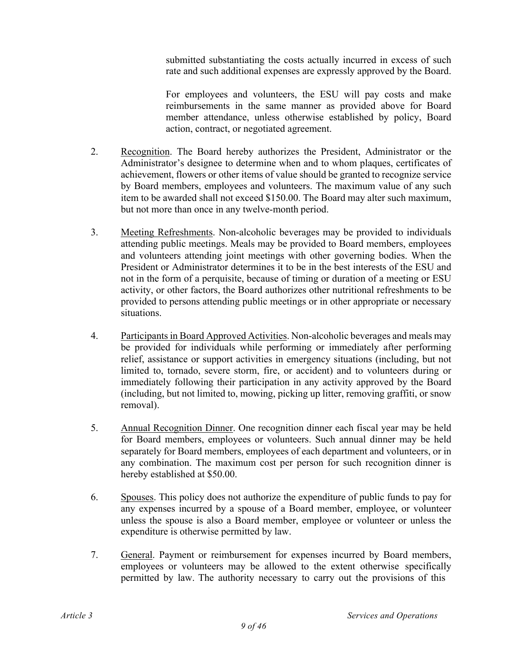submitted substantiating the costs actually incurred in excess of such rate and such additional expenses are expressly approved by the Board.

For employees and volunteers, the ESU will pay costs and make reimbursements in the same manner as provided above for Board member attendance, unless otherwise established by policy, Board action, contract, or negotiated agreement.

- 2. Recognition. The Board hereby authorizes the President, Administrator or the Administrator's designee to determine when and to whom plaques, certificates of achievement, flowers or other items of value should be granted to recognize service by Board members, employees and volunteers. The maximum value of any such item to be awarded shall not exceed \$150.00. The Board may alter such maximum, but not more than once in any twelve-month period.
- 3. Meeting Refreshments. Non-alcoholic beverages may be provided to individuals attending public meetings. Meals may be provided to Board members, employees and volunteers attending joint meetings with other governing bodies. When the President or Administrator determines it to be in the best interests of the ESU and not in the form of a perquisite, because of timing or duration of a meeting or ESU activity, or other factors, the Board authorizes other nutritional refreshments to be provided to persons attending public meetings or in other appropriate or necessary situations.
- 4. Participants in Board Approved Activities. Non-alcoholic beverages and meals may be provided for individuals while performing or immediately after performing relief, assistance or support activities in emergency situations (including, but not limited to, tornado, severe storm, fire, or accident) and to volunteers during or immediately following their participation in any activity approved by the Board (including, but not limited to, mowing, picking up litter, removing graffiti, or snow removal).
- 5. Annual Recognition Dinner. One recognition dinner each fiscal year may be held for Board members, employees or volunteers. Such annual dinner may be held separately for Board members, employees of each department and volunteers, or in any combination. The maximum cost per person for such recognition dinner is hereby established at \$50.00.
- 6. Spouses. This policy does not authorize the expenditure of public funds to pay for any expenses incurred by a spouse of a Board member, employee, or volunteer unless the spouse is also a Board member, employee or volunteer or unless the expenditure is otherwise permitted by law.
- 7. General. Payment or reimbursement for expenses incurred by Board members, employees or volunteers may be allowed to the extent otherwise specifically permitted by law. The authority necessary to carry out the provisions of this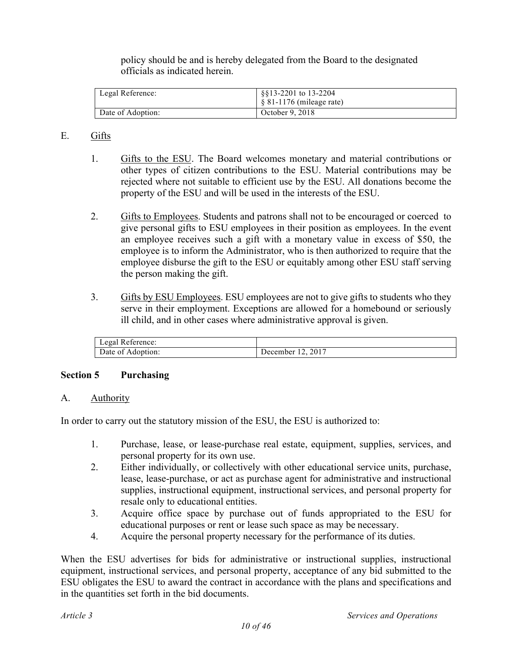policy should be and is hereby delegated from the Board to the designated officials as indicated herein.

| Legal Reference:  | §§13-2201 to 13-2204<br>$\frac{1}{2}$ \$ 81-1176 (mileage rate) |
|-------------------|-----------------------------------------------------------------|
| Date of Adoption: | October 9, 2018                                                 |

## E. Gifts

- 1. Gifts to the ESU. The Board welcomes monetary and material contributions or other types of citizen contributions to the ESU. Material contributions may be rejected where not suitable to efficient use by the ESU. All donations become the property of the ESU and will be used in the interests of the ESU.
- 2. Gifts to Employees. Students and patrons shall not to be encouraged or coerced to give personal gifts to ESU employees in their position as employees. In the event an employee receives such a gift with a monetary value in excess of \$50, the employee is to inform the Administrator, who is then authorized to require that the employee disburse the gift to the ESU or equitably among other ESU staff serving the person making the gift.
- 3. Gifts by ESU Employees. ESU employees are not to give gifts to students who they serve in their employment. Exceptions are allowed for a homebound or seriously ill child, and in other cases where administrative approval is given.

| Legal Reference:  |                   |
|-------------------|-------------------|
| Date of Adoption: | December 12, 2017 |

#### **Section 5 Purchasing**

#### A. Authority

In order to carry out the statutory mission of the ESU, the ESU is authorized to:

- 1. Purchase, lease, or lease-purchase real estate, equipment, supplies, services, and personal property for its own use.
- 2. Either individually, or collectively with other educational service units, purchase, lease, lease-purchase, or act as purchase agent for administrative and instructional supplies, instructional equipment, instructional services, and personal property for resale only to educational entities.
- 3. Acquire office space by purchase out of funds appropriated to the ESU for educational purposes or rent or lease such space as may be necessary.
- 4. Acquire the personal property necessary for the performance of its duties.

When the ESU advertises for bids for administrative or instructional supplies, instructional equipment, instructional services, and personal property, acceptance of any bid submitted to the ESU obligates the ESU to award the contract in accordance with the plans and specifications and in the quantities set forth in the bid documents.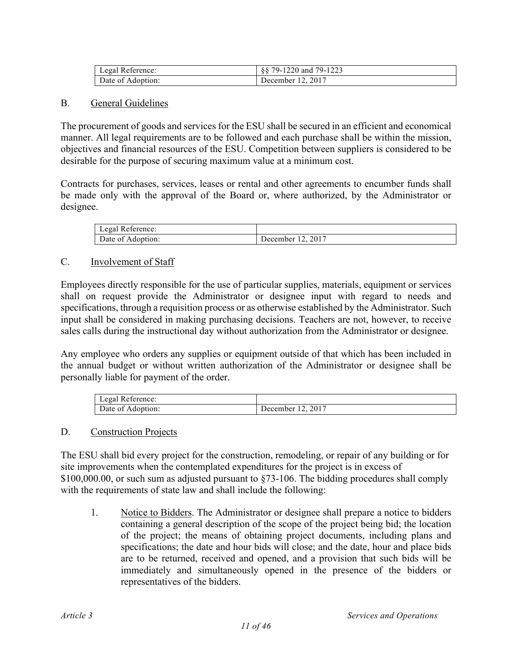| Legal Reference:  | 88 79-1220 and 79-1223 |
|-------------------|------------------------|
| Date of Adoption: | December 12, 2017      |

## B. General Guidelines

The procurement of goods and services for the ESU shall be secured in an efficient and economical manner. All legal requirements are to be followed and each purchase shall be within the mission, objectives and financial resources of the ESU. Competition between suppliers is considered to be desirable for the purpose of securing maximum value at a minimum cost.

Contracts for purchases, services, leases or rental and other agreements to encumber funds shall be made only with the approval of the Board or, where authorized, by the Administrator or designee.

| Legal Reference: |                |
|------------------|----------------|
| $\sqrt{ }$       | 2017           |
| Date of          | Jecember       |
| Adoption:        | $\overline{1}$ |

#### C. Involvement of Staff

Employees directly responsible for the use of particular supplies, materials, equipment or services shall on request provide the Administrator or designee input with regard to needs and specifications, through a requisition process or as otherwise established by the Administrator. Such input shall be considered in making purchasing decisions. Teachers are not, however, to receive sales calls during the instructional day without authorization from the Administrator or designee.

Any employee who orders any supplies or equipment outside of that which has been included in the annual budget or without written authorization of the Administrator or designee shall be personally liable for payment of the order.

| Legal Reference:     |                                              |
|----------------------|----------------------------------------------|
| Date of<br>Adoption: | 2017<br>Jecember<br>$\overline{\phantom{a}}$ |

#### D. Construction Projects

The ESU shall bid every project for the construction, remodeling, or repair of any building or for site improvements when the contemplated expenditures for the project is in excess of \$100,000.00, or such sum as adjusted pursuant to \$73-106. The bidding procedures shall comply with the requirements of state law and shall include the following:

1. Notice to Bidders. The Administrator or designee shall prepare a notice to bidders containing a general description of the scope of the project being bid; the location of the project; the means of obtaining project documents, including plans and specifications; the date and hour bids will close; and the date, hour and place bids are to be returned, received and opened, and a provision that such bids will be immediately and simultaneously opened in the presence of the bidders or representatives of the bidders.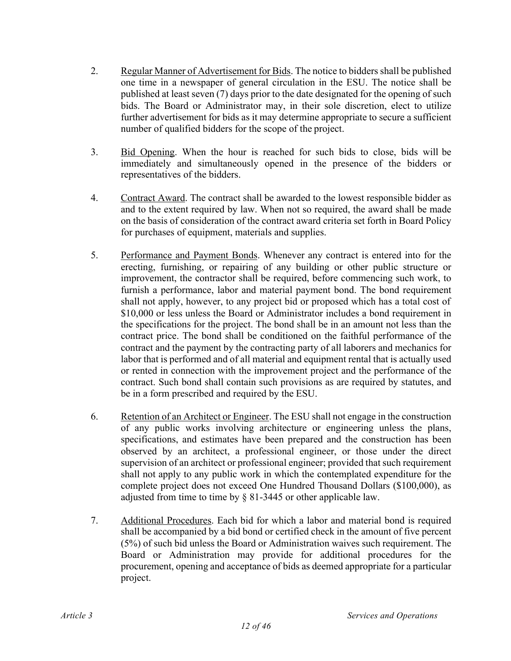- 2. Regular Manner of Advertisement for Bids. The notice to bidders shall be published one time in a newspaper of general circulation in the ESU. The notice shall be published at least seven (7) days prior to the date designated for the opening of such bids. The Board or Administrator may, in their sole discretion, elect to utilize further advertisement for bids as it may determine appropriate to secure a sufficient number of qualified bidders for the scope of the project.
- 3. Bid Opening. When the hour is reached for such bids to close, bids will be immediately and simultaneously opened in the presence of the bidders or representatives of the bidders.
- 4. Contract Award. The contract shall be awarded to the lowest responsible bidder as and to the extent required by law. When not so required, the award shall be made on the basis of consideration of the contract award criteria set forth in Board Policy for purchases of equipment, materials and supplies.
- 5. Performance and Payment Bonds. Whenever any contract is entered into for the erecting, furnishing, or repairing of any building or other public structure or improvement, the contractor shall be required, before commencing such work, to furnish a performance, labor and material payment bond. The bond requirement shall not apply, however, to any project bid or proposed which has a total cost of \$10,000 or less unless the Board or Administrator includes a bond requirement in the specifications for the project. The bond shall be in an amount not less than the contract price. The bond shall be conditioned on the faithful performance of the contract and the payment by the contracting party of all laborers and mechanics for labor that is performed and of all material and equipment rental that is actually used or rented in connection with the improvement project and the performance of the contract. Such bond shall contain such provisions as are required by statutes, and be in a form prescribed and required by the ESU.
- 6. Retention of an Architect or Engineer. The ESU shall not engage in the construction of any public works involving architecture or engineering unless the plans, specifications, and estimates have been prepared and the construction has been observed by an architect, a professional engineer, or those under the direct supervision of an architect or professional engineer; provided that such requirement shall not apply to any public work in which the contemplated expenditure for the complete project does not exceed One Hundred Thousand Dollars (\$100,000), as adjusted from time to time by § 81-3445 or other applicable law.
- 7. Additional Procedures. Each bid for which a labor and material bond is required shall be accompanied by a bid bond or certified check in the amount of five percent (5%) of such bid unless the Board or Administration waives such requirement. The Board or Administration may provide for additional procedures for the procurement, opening and acceptance of bids as deemed appropriate for a particular project.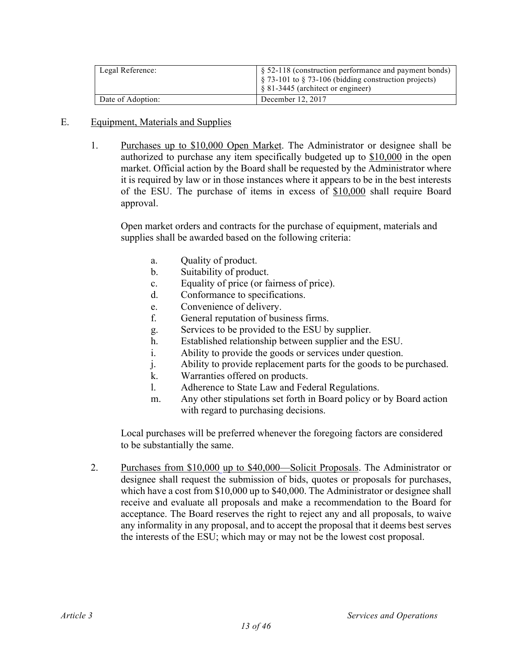| Legal Reference:  | $\S$ 52-118 (construction performance and payment bonds)<br>$\frac{1}{2}$ \$ 73-101 to § 73-106 (bidding construction projects)<br>$\&$ 81-3445 (architect or engineer) |
|-------------------|-------------------------------------------------------------------------------------------------------------------------------------------------------------------------|
| Date of Adoption: | December 12, 2017                                                                                                                                                       |

## E. Equipment, Materials and Supplies

1. Purchases up to \$10,000 Open Market. The Administrator or designee shall be authorized to purchase any item specifically budgeted up to \$10,000 in the open market. Official action by the Board shall be requested by the Administrator where it is required by law or in those instances where it appears to be in the best interests of the ESU. The purchase of items in excess of \$10,000 shall require Board approval.

Open market orders and contracts for the purchase of equipment, materials and supplies shall be awarded based on the following criteria:

- a. Quality of product.
- b. Suitability of product.
- c. Equality of price (or fairness of price).
- d. Conformance to specifications.
- e. Convenience of delivery.
- f. General reputation of business firms.
- g. Services to be provided to the ESU by supplier.
- h. Established relationship between supplier and the ESU.
- i. Ability to provide the goods or services under question.
- j. Ability to provide replacement parts for the goods to be purchased.
- k. Warranties offered on products.
- l. Adherence to State Law and Federal Regulations.
- m. Any other stipulations set forth in Board policy or by Board action with regard to purchasing decisions.

Local purchases will be preferred whenever the foregoing factors are considered to be substantially the same.

2. Purchases from \$10,000 up to \$40,000—Solicit Proposals. The Administrator or designee shall request the submission of bids, quotes or proposals for purchases, which have a cost from \$10,000 up to \$40,000. The Administrator or designee shall receive and evaluate all proposals and make a recommendation to the Board for acceptance. The Board reserves the right to reject any and all proposals, to waive any informality in any proposal, and to accept the proposal that it deems best serves the interests of the ESU; which may or may not be the lowest cost proposal.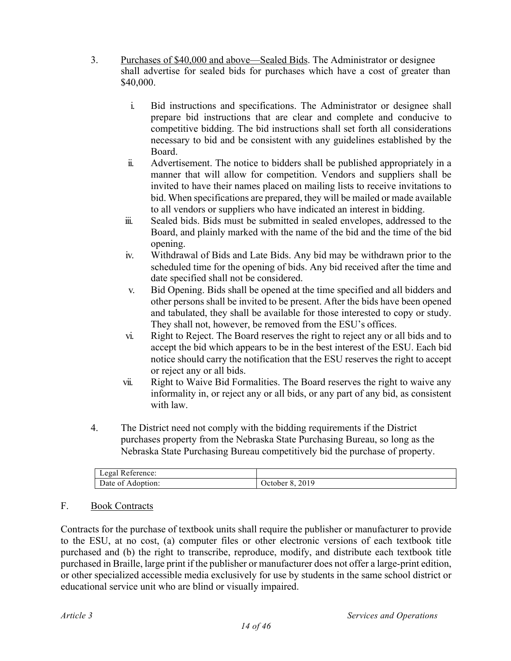- 3. Purchases of \$40,000 and above—Sealed Bids. The Administrator or designee shall advertise for sealed bids for purchases which have a cost of greater than \$40,000.
	- i. Bid instructions and specifications. The Administrator or designee shall prepare bid instructions that are clear and complete and conducive to competitive bidding. The bid instructions shall set forth all considerations necessary to bid and be consistent with any guidelines established by the Board.
	- ii. Advertisement. The notice to bidders shall be published appropriately in a manner that will allow for competition. Vendors and suppliers shall be invited to have their names placed on mailing lists to receive invitations to bid. When specifications are prepared, they will be mailed or made available to all vendors or suppliers who have indicated an interest in bidding.
	- iii. Sealed bids. Bids must be submitted in sealed envelopes, addressed to the Board, and plainly marked with the name of the bid and the time of the bid opening.
	- iv. Withdrawal of Bids and Late Bids. Any bid may be withdrawn prior to the scheduled time for the opening of bids. Any bid received after the time and date specified shall not be considered.
	- v. Bid Opening. Bids shall be opened at the time specified and all bidders and other persons shall be invited to be present. After the bids have been opened and tabulated, they shall be available for those interested to copy or study. They shall not, however, be removed from the ESU's offices.
	- vi. Right to Reject. The Board reserves the right to reject any or all bids and to accept the bid which appears to be in the best interest of the ESU. Each bid notice should carry the notification that the ESU reserves the right to accept or reject any or all bids.
	- vii. Right to Waive Bid Formalities. The Board reserves the right to waive any informality in, or reject any or all bids, or any part of any bid, as consistent with law.
- 4. The District need not comply with the bidding requirements if the District purchases property from the Nebraska State Purchasing Bureau, so long as the Nebraska State Purchasing Bureau competitively bid the purchase of property.

| Legal Reference: |            |
|------------------|------------|
| Date of          | 2019       |
| : Adoption:      | October 8. |

## F. Book Contracts

Contracts for the purchase of textbook units shall require the publisher or manufacturer to provide to the ESU, at no cost, (a) computer files or other electronic versions of each textbook title purchased and (b) the right to transcribe, reproduce, modify, and distribute each textbook title purchased in Braille, large print if the publisher or manufacturer does not offer a large-print edition, or other specialized accessible media exclusively for use by students in the same school district or educational service unit who are blind or visually impaired.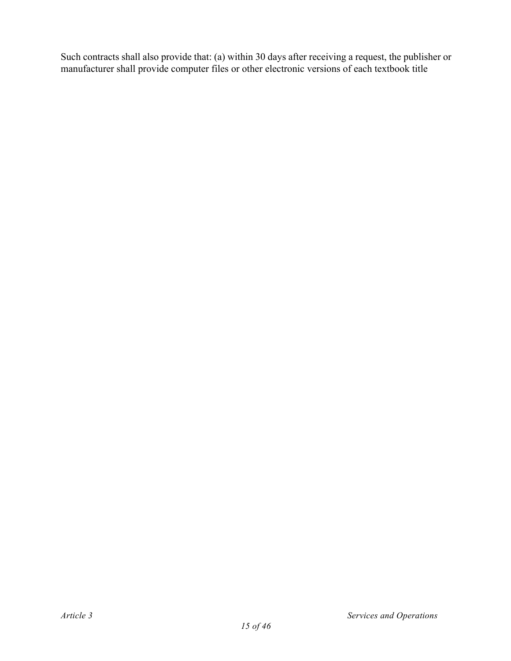Such contracts shall also provide that: (a) within 30 days after receiving a request, the publisher or manufacturer shall provide computer files or other electronic versions of each textbook title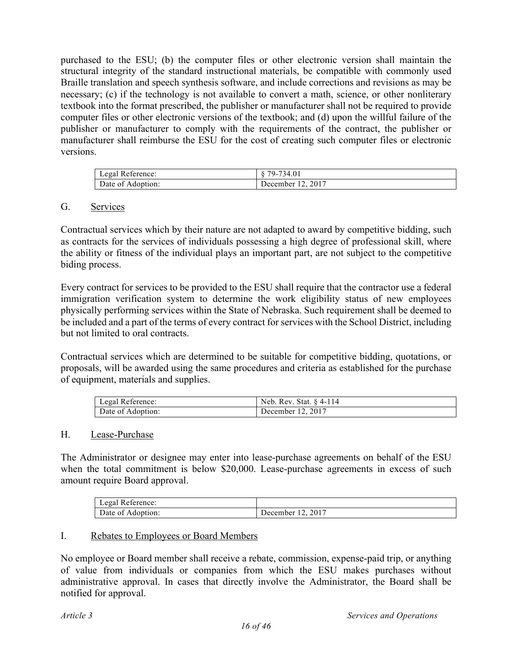purchased to the ESU; (b) the computer files or other electronic version shall maintain the structural integrity of the standard instructional materials, be compatible with commonly used Braille translation and speech synthesis software, and include corrections and revisions as may be necessary; (c) if the technology is not available to convert a math, science, or other nonliterary textbook into the format prescribed, the publisher or manufacturer shall not be required to provide computer files or other electronic versions of the textbook; and (d) upon the willful failure of the publisher or manufacturer to comply with the requirements of the contract, the publisher or manufacturer shall reimburse the ESU for the cost of creating such computer files or electronic versions.

| Legal Reference:  | 79-734.01         |
|-------------------|-------------------|
| Date of Adoption: | December 12, 2017 |

#### G. Services

Contractual services which by their nature are not adapted to award by competitive bidding, such as contracts for the services of individuals possessing a high degree of professional skill, where the ability or fitness of the individual plays an important part, are not subject to the competitive biding process.

Every contract for services to be provided to the ESU shall require that the contractor use a federal immigration verification system to determine the work eligibility status of new employees physically performing services within the State of Nebraska. Such requirement shall be deemed to be included and a part of the terms of every contract for services with the School District, including but not limited to oral contracts.

Contractual services which are determined to be suitable for competitive bidding, quotations, or proposals, will be awarded using the same procedures and criteria as established for the purchase of equipment, materials and supplies.

| Legal Reference:  | Neb. Rev. Stat. § 4-114 |
|-------------------|-------------------------|
| Date of Adoption: | December 12, 2017       |

#### H. Lease-Purchase

The Administrator or designee may enter into lease-purchase agreements on behalf of the ESU when the total commitment is below \$20,000. Lease-purchase agreements in excess of such amount require Board approval.

| Legal Reference: |              |
|------------------|--------------|
| Date of          | 2017         |
| Adoption:        | December 12. |

#### I. Rebates to Employees or Board Members

No employee or Board member shall receive a rebate, commission, expense-paid trip, or anything of value from individuals or companies from which the ESU makes purchases without administrative approval. In cases that directly involve the Administrator, the Board shall be notified for approval.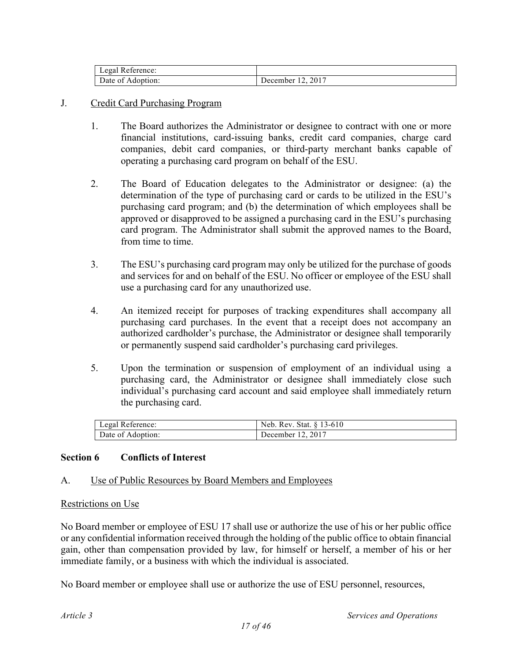| Legal Reference:  |                   |
|-------------------|-------------------|
| Date of Adoption: | December 12, 2017 |

## J. Credit Card Purchasing Program

- 1. The Board authorizes the Administrator or designee to contract with one or more financial institutions, card-issuing banks, credit card companies, charge card companies, debit card companies, or third-party merchant banks capable of operating a purchasing card program on behalf of the ESU.
- 2. The Board of Education delegates to the Administrator or designee: (a) the determination of the type of purchasing card or cards to be utilized in the ESU's purchasing card program; and (b) the determination of which employees shall be approved or disapproved to be assigned a purchasing card in the ESU's purchasing card program. The Administrator shall submit the approved names to the Board, from time to time.
- 3. The ESU's purchasing card program may only be utilized for the purchase of goods and services for and on behalf of the ESU. No officer or employee of the ESU shall use a purchasing card for any unauthorized use.
- 4. An itemized receipt for purposes of tracking expenditures shall accompany all purchasing card purchases. In the event that a receipt does not accompany an authorized cardholder's purchase, the Administrator or designee shall temporarily or permanently suspend said cardholder's purchasing card privileges.
- 5. Upon the termination or suspension of employment of an individual using a purchasing card, the Administrator or designee shall immediately close such individual's purchasing card account and said employee shall immediately return the purchasing card.

| Legal Reference:  | Neb. Rev. Stat. § 13-610 |
|-------------------|--------------------------|
| Date of Adoption: | December 12, 2017        |

#### **Section 6 Conflicts of Interest**

#### A. Use of Public Resources by Board Members and Employees

#### Restrictions on Use

No Board member or employee of ESU 17 shall use or authorize the use of his or her public office or any confidential information received through the holding of the public office to obtain financial gain, other than compensation provided by law, for himself or herself, a member of his or her immediate family, or a business with which the individual is associated.

No Board member or employee shall use or authorize the use of ESU personnel, resources,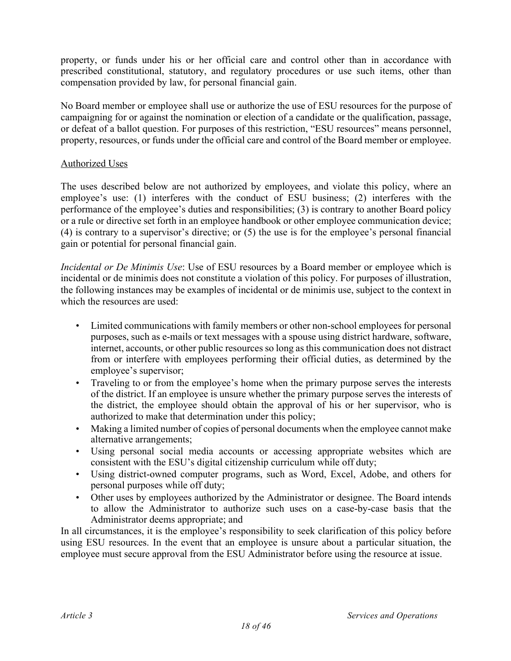property, or funds under his or her official care and control other than in accordance with prescribed constitutional, statutory, and regulatory procedures or use such items, other than compensation provided by law, for personal financial gain.

No Board member or employee shall use or authorize the use of ESU resources for the purpose of campaigning for or against the nomination or election of a candidate or the qualification, passage, or defeat of a ballot question. For purposes of this restriction, "ESU resources" means personnel, property, resources, or funds under the official care and control of the Board member or employee.

## Authorized Uses

The uses described below are not authorized by employees, and violate this policy, where an employee's use: (1) interferes with the conduct of ESU business; (2) interferes with the performance of the employee's duties and responsibilities; (3) is contrary to another Board policy or a rule or directive set forth in an employee handbook or other employee communication device; (4) is contrary to a supervisor's directive; or (5) the use is for the employee's personal financial gain or potential for personal financial gain.

*Incidental or De Minimis Use*: Use of ESU resources by a Board member or employee which is incidental or de minimis does not constitute a violation of this policy. For purposes of illustration, the following instances may be examples of incidental or de minimis use, subject to the context in which the resources are used:

- Limited communications with family members or other non-school employees for personal purposes, such as e-mails or text messages with a spouse using district hardware, software, internet, accounts, or other public resources so long as this communication does not distract from or interfere with employees performing their official duties, as determined by the employee's supervisor;
- Traveling to or from the employee's home when the primary purpose serves the interests of the district. If an employee is unsure whether the primary purpose serves the interests of the district, the employee should obtain the approval of his or her supervisor, who is authorized to make that determination under this policy;
- Making a limited number of copies of personal documents when the employee cannot make alternative arrangements;
- Using personal social media accounts or accessing appropriate websites which are consistent with the ESU's digital citizenship curriculum while off duty;
- Using district-owned computer programs, such as Word, Excel, Adobe, and others for personal purposes while off duty;
- Other uses by employees authorized by the Administrator or designee. The Board intends to allow the Administrator to authorize such uses on a case-by-case basis that the Administrator deems appropriate; and

In all circumstances, it is the employee's responsibility to seek clarification of this policy before using ESU resources. In the event that an employee is unsure about a particular situation, the employee must secure approval from the ESU Administrator before using the resource at issue.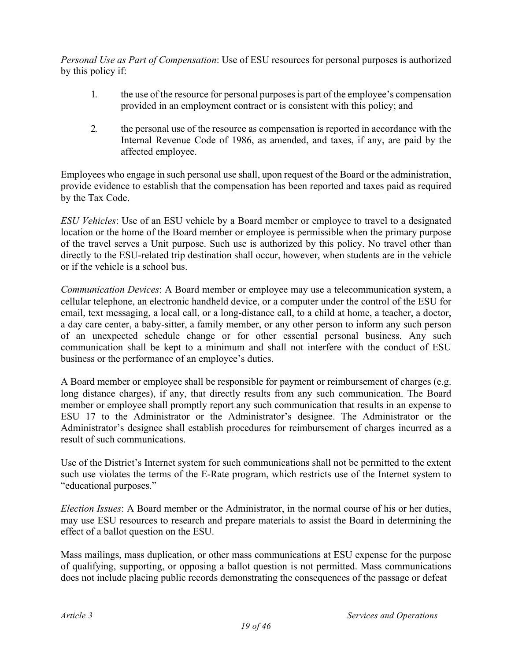*Personal Use as Part of Compensation*: Use of ESU resources for personal purposes is authorized by this policy if:

- 1. the use of the resource for personal purposes is part of the employee's compensation provided in an employment contract or is consistent with this policy; and
- 2. the personal use of the resource as compensation is reported in accordance with the Internal Revenue Code of 1986, as amended, and taxes, if any, are paid by the affected employee.

Employees who engage in such personal use shall, upon request of the Board or the administration, provide evidence to establish that the compensation has been reported and taxes paid as required by the Tax Code.

*ESU Vehicles*: Use of an ESU vehicle by a Board member or employee to travel to a designated location or the home of the Board member or employee is permissible when the primary purpose of the travel serves a Unit purpose. Such use is authorized by this policy. No travel other than directly to the ESU-related trip destination shall occur, however, when students are in the vehicle or if the vehicle is a school bus.

*Communication Devices*: A Board member or employee may use a telecommunication system, a cellular telephone, an electronic handheld device, or a computer under the control of the ESU for email, text messaging, a local call, or a long-distance call, to a child at home, a teacher, a doctor, a day care center, a baby-sitter, a family member, or any other person to inform any such person of an unexpected schedule change or for other essential personal business. Any such communication shall be kept to a minimum and shall not interfere with the conduct of ESU business or the performance of an employee's duties.

A Board member or employee shall be responsible for payment or reimbursement of charges (e.g. long distance charges), if any, that directly results from any such communication. The Board member or employee shall promptly report any such communication that results in an expense to ESU 17 to the Administrator or the Administrator's designee. The Administrator or the Administrator's designee shall establish procedures for reimbursement of charges incurred as a result of such communications.

Use of the District's Internet system for such communications shall not be permitted to the extent such use violates the terms of the E-Rate program, which restricts use of the Internet system to "educational purposes."

*Election Issues*: A Board member or the Administrator, in the normal course of his or her duties, may use ESU resources to research and prepare materials to assist the Board in determining the effect of a ballot question on the ESU.

Mass mailings, mass duplication, or other mass communications at ESU expense for the purpose of qualifying, supporting, or opposing a ballot question is not permitted. Mass communications does not include placing public records demonstrating the consequences of the passage or defeat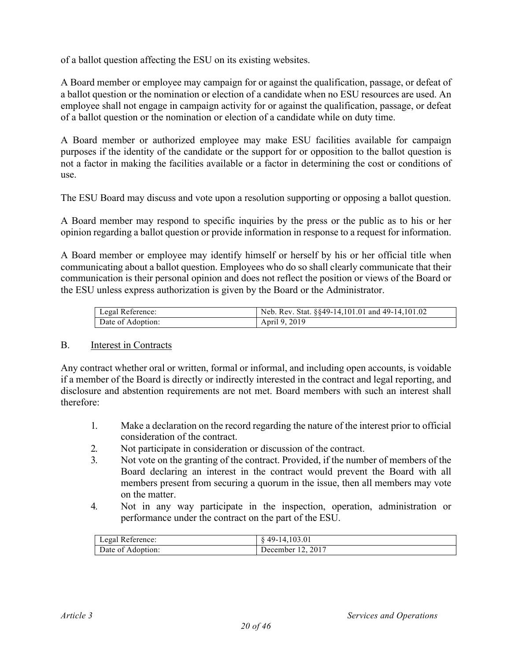of a ballot question affecting the ESU on its existing websites.

A Board member or employee may campaign for or against the qualification, passage, or defeat of a ballot question or the nomination or election of a candidate when no ESU resources are used. An employee shall not engage in campaign activity for or against the qualification, passage, or defeat of a ballot question or the nomination or election of a candidate while on duty time.

A Board member or authorized employee may make ESU facilities available for campaign purposes if the identity of the candidate or the support for or opposition to the ballot question is not a factor in making the facilities available or a factor in determining the cost or conditions of use.

The ESU Board may discuss and vote upon a resolution supporting or opposing a ballot question.

A Board member may respond to specific inquiries by the press or the public as to his or her opinion regarding a ballot question or provide information in response to a request for information.

A Board member or employee may identify himself or herself by his or her official title when communicating about a ballot question. Employees who do so shall clearly communicate that their communication is their personal opinion and does not reflect the position or views of the Board or the ESU unless express authorization is given by the Board or the Administrator.

| Legal Reference:  | Neb. Rev. Stat. $\S$ §49-14,101.01 and 49-14,101.02 |
|-------------------|-----------------------------------------------------|
| Date of Adoption: | April 9, 2019                                       |

#### B. Interest in Contracts

Any contract whether oral or written, formal or informal, and including open accounts, is voidable if a member of the Board is directly or indirectly interested in the contract and legal reporting, and disclosure and abstention requirements are not met. Board members with such an interest shall therefore:

- 1. Make a declaration on the record regarding the nature of the interest prior to official consideration of the contract.
- 2. Not participate in consideration or discussion of the contract.
- 3. Not vote on the granting of the contract. Provided, if the number of members of the Board declaring an interest in the contract would prevent the Board with all members present from securing a quorum in the issue, then all members may vote on the matter.
- 4. Not in any way participate in the inspection, operation, administration or performance under the contract on the part of the ESU.

| Legal Reference:  | 49-14, 103.01     |
|-------------------|-------------------|
| Date of Adoption: | December 12, 2017 |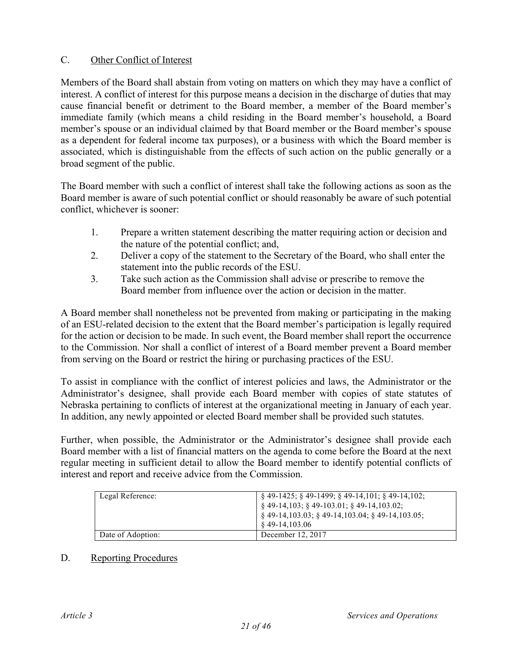## C. Other Conflict of Interest

Members of the Board shall abstain from voting on matters on which they may have a conflict of interest. A conflict of interest for this purpose means a decision in the discharge of duties that may cause financial benefit or detriment to the Board member, a member of the Board member's immediate family (which means a child residing in the Board member's household, a Board member's spouse or an individual claimed by that Board member or the Board member's spouse as a dependent for federal income tax purposes), or a business with which the Board member is associated, which is distinguishable from the effects of such action on the public generally or a broad segment of the public.

The Board member with such a conflict of interest shall take the following actions as soon as the Board member is aware of such potential conflict or should reasonably be aware of such potential conflict, whichever is sooner:

- 1. Prepare a written statement describing the matter requiring action or decision and the nature of the potential conflict; and,
- 2. Deliver a copy of the statement to the Secretary of the Board, who shall enter the statement into the public records of the ESU.
- 3. Take such action as the Commission shall advise or prescribe to remove the Board member from influence over the action or decision in the matter.

A Board member shall nonetheless not be prevented from making or participating in the making of an ESU-related decision to the extent that the Board member's participation is legally required for the action or decision to be made. In such event, the Board member shall report the occurrence to the Commission. Nor shall a conflict of interest of a Board member prevent a Board member from serving on the Board or restrict the hiring or purchasing practices of the ESU.

To assist in compliance with the conflict of interest policies and laws, the Administrator or the Administrator's designee, shall provide each Board member with copies of state statutes of Nebraska pertaining to conflicts of interest at the organizational meeting in January of each year. In addition, any newly appointed or elected Board member shall be provided such statutes.

Further, when possible, the Administrator or the Administrator's designee shall provide each Board member with a list of financial matters on the agenda to come before the Board at the next regular meeting in sufficient detail to allow the Board member to identify potential conflicts of interest and report and receive advice from the Commission.

| Legal Reference:  | $\frac{1}{2}$ \$49-1425; \$49-1499; \$49-14,101; \$49-14,102;<br>$\frac{1}{2}$ \$49-14,103; \$49-103.01; \$49-14,103.02;<br>$\frac{1}{2}$ § 49-14,103.03; § 49-14,103.04; § 49-14,103.05;<br>$849-14,103.06$ |
|-------------------|--------------------------------------------------------------------------------------------------------------------------------------------------------------------------------------------------------------|
| Date of Adoption: | December 12, 2017                                                                                                                                                                                            |

## D. Reporting Procedures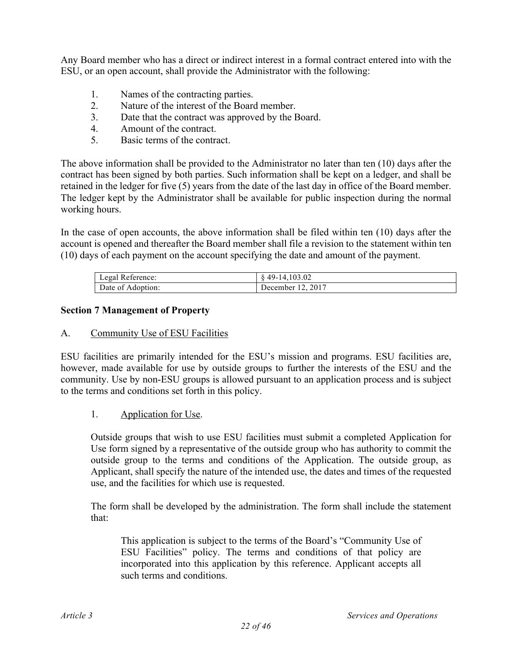Any Board member who has a direct or indirect interest in a formal contract entered into with the ESU, or an open account, shall provide the Administrator with the following:

- 1. Names of the contracting parties.
- 2. Nature of the interest of the Board member.
- 3. Date that the contract was approved by the Board.
- 4. Amount of the contract.
- 5. Basic terms of the contract.

The above information shall be provided to the Administrator no later than ten (10) days after the contract has been signed by both parties. Such information shall be kept on a ledger, and shall be retained in the ledger for five (5) years from the date of the last day in office of the Board member. The ledger kept by the Administrator shall be available for public inspection during the normal working hours.

In the case of open accounts, the above information shall be filed within ten (10) days after the account is opened and thereafter the Board member shall file a revision to the statement within ten (10) days of each payment on the account specifying the date and amount of the payment.

| Legal Reference:  | 49-14, 103.02     |
|-------------------|-------------------|
| Date of Adoption: | December 12, 2017 |

## **Section 7 Management of Property**

#### A. Community Use of ESU Facilities

ESU facilities are primarily intended for the ESU's mission and programs. ESU facilities are, however, made available for use by outside groups to further the interests of the ESU and the community. Use by non-ESU groups is allowed pursuant to an application process and is subject to the terms and conditions set forth in this policy.

## 1. Application for Use.

Outside groups that wish to use ESU facilities must submit a completed Application for Use form signed by a representative of the outside group who has authority to commit the outside group to the terms and conditions of the Application. The outside group, as Applicant, shall specify the nature of the intended use, the dates and times of the requested use, and the facilities for which use is requested.

The form shall be developed by the administration. The form shall include the statement that:

This application is subject to the terms of the Board's "Community Use of ESU Facilities" policy. The terms and conditions of that policy are incorporated into this application by this reference. Applicant accepts all such terms and conditions.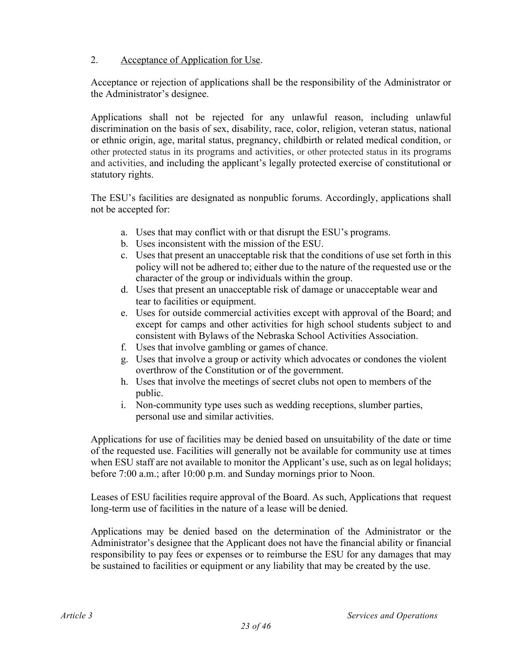## 2. Acceptance of Application for Use.

Acceptance or rejection of applications shall be the responsibility of the Administrator or the Administrator's designee.

Applications shall not be rejected for any unlawful reason, including unlawful discrimination on the basis of sex, disability, race, color, religion, veteran status, national or ethnic origin, age, marital status, pregnancy, childbirth or related medical condition, or other protected status in its programs and activities, or other protected status in its programs and activities, and including the applicant's legally protected exercise of constitutional or statutory rights.

The ESU's facilities are designated as nonpublic forums. Accordingly, applications shall not be accepted for:

- a. Uses that may conflict with or that disrupt the ESU's programs.
- b. Uses inconsistent with the mission of the ESU.
- c. Uses that present an unacceptable risk that the conditions of use set forth in this policy will not be adhered to; either due to the nature of the requested use or the character of the group or individuals within the group.
- d. Uses that present an unacceptable risk of damage or unacceptable wear and tear to facilities or equipment.
- e. Uses for outside commercial activities except with approval of the Board; and except for camps and other activities for high school students subject to and consistent with Bylaws of the Nebraska School Activities Association.
- f. Uses that involve gambling or games of chance.
- g. Uses that involve a group or activity which advocates or condones the violent overthrow of the Constitution or of the government.
- h. Uses that involve the meetings of secret clubs not open to members of the public.
- i. Non-community type uses such as wedding receptions, slumber parties, personal use and similar activities.

Applications for use of facilities may be denied based on unsuitability of the date or time of the requested use. Facilities will generally not be available for community use at times when ESU staff are not available to monitor the Applicant's use, such as on legal holidays; before 7:00 a.m.; after 10:00 p.m. and Sunday mornings prior to Noon.

Leases of ESU facilities require approval of the Board. As such, Applications that request long-term use of facilities in the nature of a lease will be denied.

Applications may be denied based on the determination of the Administrator or the Administrator's designee that the Applicant does not have the financial ability or financial responsibility to pay fees or expenses or to reimburse the ESU for any damages that may be sustained to facilities or equipment or any liability that may be created by the use.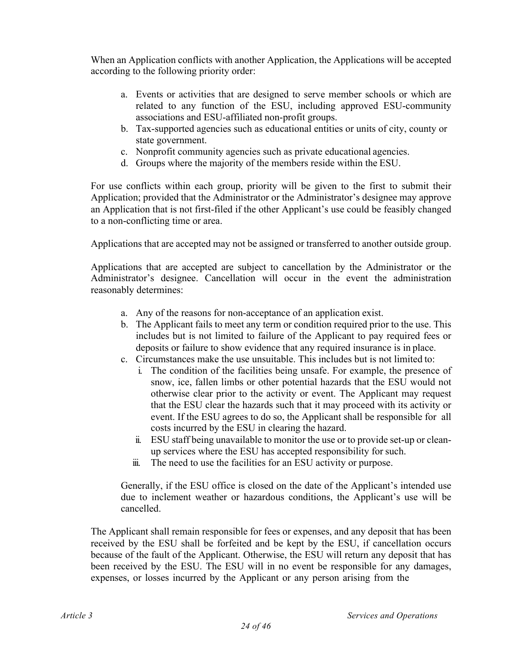When an Application conflicts with another Application, the Applications will be accepted according to the following priority order:

- a. Events or activities that are designed to serve member schools or which are related to any function of the ESU, including approved ESU-community associations and ESU-affiliated non-profit groups.
- b. Tax-supported agencies such as educational entities or units of city, county or state government.
- c. Nonprofit community agencies such as private educational agencies.
- d. Groups where the majority of the members reside within the ESU.

For use conflicts within each group, priority will be given to the first to submit their Application; provided that the Administrator or the Administrator's designee may approve an Application that is not first-filed if the other Applicant's use could be feasibly changed to a non-conflicting time or area.

Applications that are accepted may not be assigned or transferred to another outside group.

Applications that are accepted are subject to cancellation by the Administrator or the Administrator's designee. Cancellation will occur in the event the administration reasonably determines:

- a. Any of the reasons for non-acceptance of an application exist.
- b. The Applicant fails to meet any term or condition required prior to the use. This includes but is not limited to failure of the Applicant to pay required fees or deposits or failure to show evidence that any required insurance is in place.
- c. Circumstances make the use unsuitable. This includes but is not limited to:
	- i. The condition of the facilities being unsafe. For example, the presence of snow, ice, fallen limbs or other potential hazards that the ESU would not otherwise clear prior to the activity or event. The Applicant may request that the ESU clear the hazards such that it may proceed with its activity or event. If the ESU agrees to do so, the Applicant shall be responsible for all costs incurred by the ESU in clearing the hazard.
	- ii. ESU staff being unavailable to monitor the use or to provide set-up or cleanup services where the ESU has accepted responsibility for such.
	- iii. The need to use the facilities for an ESU activity or purpose.

Generally, if the ESU office is closed on the date of the Applicant's intended use due to inclement weather or hazardous conditions, the Applicant's use will be cancelled.

The Applicant shall remain responsible for fees or expenses, and any deposit that has been received by the ESU shall be forfeited and be kept by the ESU, if cancellation occurs because of the fault of the Applicant. Otherwise, the ESU will return any deposit that has been received by the ESU. The ESU will in no event be responsible for any damages, expenses, or losses incurred by the Applicant or any person arising from the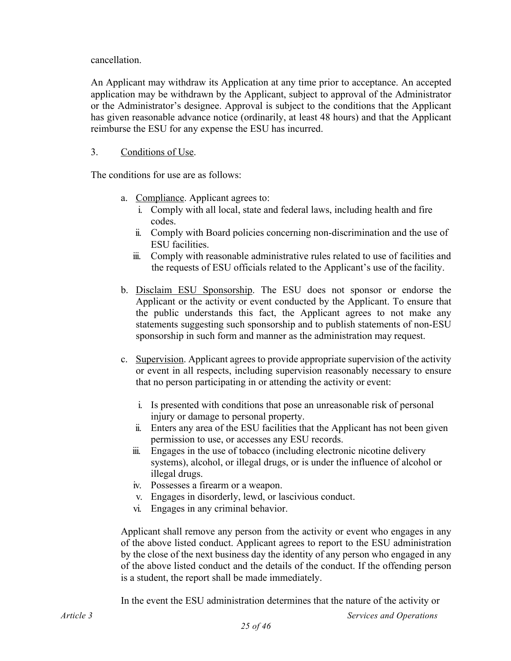cancellation.

An Applicant may withdraw its Application at any time prior to acceptance. An accepted application may be withdrawn by the Applicant, subject to approval of the Administrator or the Administrator's designee. Approval is subject to the conditions that the Applicant has given reasonable advance notice (ordinarily, at least 48 hours) and that the Applicant reimburse the ESU for any expense the ESU has incurred.

## 3. Conditions of Use.

The conditions for use are as follows:

- a. Compliance. Applicant agrees to:
	- i. Comply with all local, state and federal laws, including health and fire codes.
	- ii. Comply with Board policies concerning non-discrimination and the use of ESU facilities.
	- iii. Comply with reasonable administrative rules related to use of facilities and the requests of ESU officials related to the Applicant's use of the facility.
- b. Disclaim ESU Sponsorship. The ESU does not sponsor or endorse the Applicant or the activity or event conducted by the Applicant. To ensure that the public understands this fact, the Applicant agrees to not make any statements suggesting such sponsorship and to publish statements of non-ESU sponsorship in such form and manner as the administration may request.
- c. Supervision. Applicant agrees to provide appropriate supervision of the activity or event in all respects, including supervision reasonably necessary to ensure that no person participating in or attending the activity or event:
	- i. Is presented with conditions that pose an unreasonable risk of personal injury or damage to personal property.
	- ii. Enters any area of the ESU facilities that the Applicant has not been given permission to use, or accesses any ESU records.
	- iii. Engages in the use of tobacco (including electronic nicotine delivery systems), alcohol, or illegal drugs, or is under the influence of alcohol or illegal drugs.
	- iv. Possesses a firearm or a weapon.
	- v. Engages in disorderly, lewd, or lascivious conduct.
	- vi. Engages in any criminal behavior.

Applicant shall remove any person from the activity or event who engages in any of the above listed conduct. Applicant agrees to report to the ESU administration by the close of the next business day the identity of any person who engaged in any of the above listed conduct and the details of the conduct. If the offending person is a student, the report shall be made immediately.

In the event the ESU administration determines that the nature of the activity or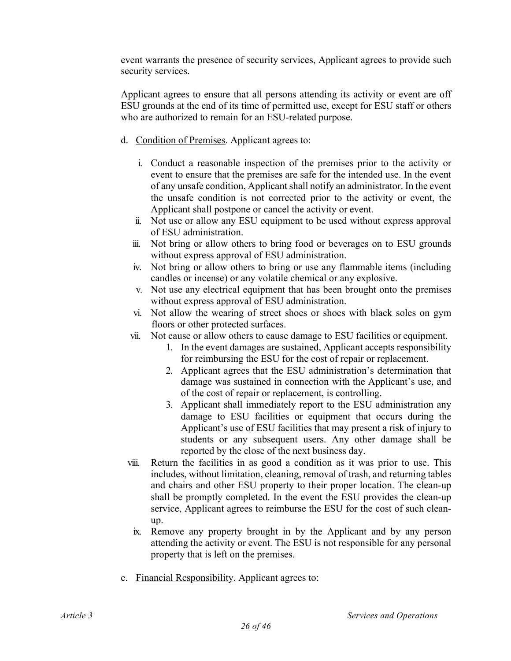event warrants the presence of security services, Applicant agrees to provide such security services.

Applicant agrees to ensure that all persons attending its activity or event are off ESU grounds at the end of its time of permitted use, except for ESU staff or others who are authorized to remain for an ESU-related purpose.

- d. Condition of Premises. Applicant agrees to:
	- i. Conduct a reasonable inspection of the premises prior to the activity or event to ensure that the premises are safe for the intended use. In the event of any unsafe condition, Applicant shall notify an administrator. In the event the unsafe condition is not corrected prior to the activity or event, the Applicant shall postpone or cancel the activity or event.
	- ii. Not use or allow any ESU equipment to be used without express approval of ESU administration.
	- iii. Not bring or allow others to bring food or beverages on to ESU grounds without express approval of ESU administration.
	- iv. Not bring or allow others to bring or use any flammable items (including candles or incense) or any volatile chemical or any explosive.
	- v. Not use any electrical equipment that has been brought onto the premises without express approval of ESU administration.
	- vi. Not allow the wearing of street shoes or shoes with black soles on gym floors or other protected surfaces.
	- vii. Not cause or allow others to cause damage to ESU facilities or equipment.
		- 1. In the event damages are sustained, Applicant accepts responsibility for reimbursing the ESU for the cost of repair or replacement.
		- 2. Applicant agrees that the ESU administration's determination that damage was sustained in connection with the Applicant's use, and of the cost of repair or replacement, is controlling.
		- 3. Applicant shall immediately report to the ESU administration any damage to ESU facilities or equipment that occurs during the Applicant's use of ESU facilities that may present a risk of injury to students or any subsequent users. Any other damage shall be reported by the close of the next business day.
	- viii. Return the facilities in as good a condition as it was prior to use. This includes, without limitation, cleaning, removal of trash, and returning tables and chairs and other ESU property to their proper location. The clean-up shall be promptly completed. In the event the ESU provides the clean-up service, Applicant agrees to reimburse the ESU for the cost of such cleanup.
	- ix. Remove any property brought in by the Applicant and by any person attending the activity or event. The ESU is not responsible for any personal property that is left on the premises.
- e. Financial Responsibility. Applicant agrees to: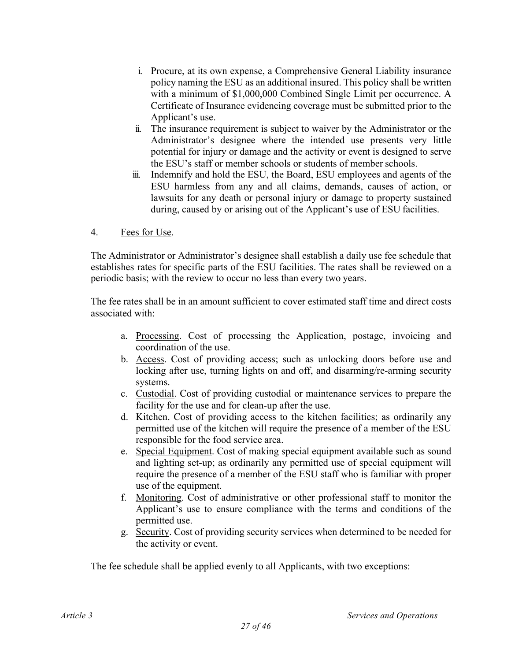- i. Procure, at its own expense, a Comprehensive General Liability insurance policy naming the ESU as an additional insured. This policy shall be written with a minimum of \$1,000,000 Combined Single Limit per occurrence. A Certificate of Insurance evidencing coverage must be submitted prior to the Applicant's use.
- ii. The insurance requirement is subject to waiver by the Administrator or the Administrator's designee where the intended use presents very little potential for injury or damage and the activity or event is designed to serve the ESU's staff or member schools or students of member schools.
- iii. Indemnify and hold the ESU, the Board, ESU employees and agents of the ESU harmless from any and all claims, demands, causes of action, or lawsuits for any death or personal injury or damage to property sustained during, caused by or arising out of the Applicant's use of ESU facilities.
- 4. Fees for Use.

The Administrator or Administrator's designee shall establish a daily use fee schedule that establishes rates for specific parts of the ESU facilities. The rates shall be reviewed on a periodic basis; with the review to occur no less than every two years.

The fee rates shall be in an amount sufficient to cover estimated staff time and direct costs associated with:

- a. Processing. Cost of processing the Application, postage, invoicing and coordination of the use.
- b. Access. Cost of providing access; such as unlocking doors before use and locking after use, turning lights on and off, and disarming/re-arming security systems.
- c. Custodial. Cost of providing custodial or maintenance services to prepare the facility for the use and for clean-up after the use.
- d. Kitchen. Cost of providing access to the kitchen facilities; as ordinarily any permitted use of the kitchen will require the presence of a member of the ESU responsible for the food service area.
- e. Special Equipment. Cost of making special equipment available such as sound and lighting set-up; as ordinarily any permitted use of special equipment will require the presence of a member of the ESU staff who is familiar with proper use of the equipment.
- f. Monitoring. Cost of administrative or other professional staff to monitor the Applicant's use to ensure compliance with the terms and conditions of the permitted use.
- g. Security. Cost of providing security services when determined to be needed for the activity or event.

The fee schedule shall be applied evenly to all Applicants, with two exceptions: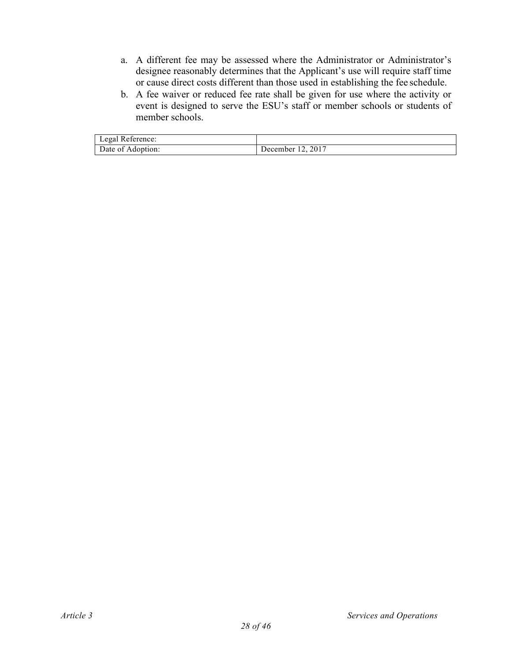- a. A different fee may be assessed where the Administrator or Administrator's designee reasonably determines that the Applicant's use will require staff time or cause direct costs different than those used in establishing the fee schedule.
- b. A fee waiver or reduced fee rate shall be given for use where the activity or event is designed to serve the ESU's staff or member schools or students of member schools.

| Legal Reference:  |                   |
|-------------------|-------------------|
| Date of Adoption: | December 12, 2017 |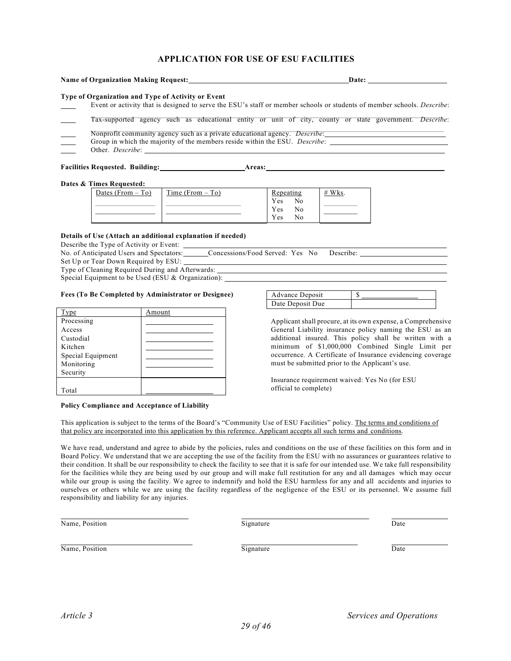#### **APPLICATION FOR USE OF ESU FACILITIES**

| Name of Organization Making Request: Manuscripture of Organization Making Request:                                                                                                                   |                    |        |                          |          | Date: |  |
|------------------------------------------------------------------------------------------------------------------------------------------------------------------------------------------------------|--------------------|--------|--------------------------|----------|-------|--|
| Type of Organization and Type of Activity or Event<br>Event or activity that is designed to serve the ESU's staff or member schools or students of member schools. <i>Describe</i> :                 |                    |        |                          |          |       |  |
| Tax-supported agency such as educational entity or unit of city, county or state government. Describe:                                                                                               |                    |        |                          |          |       |  |
| Nonprofit community agency such as a private educational agency. <i>Describe</i> :<br>Group in which the majority of the members reside within the ESU. <i>Describe:</i><br>Other. <i>Describe</i> : |                    |        |                          |          |       |  |
| <b>Facilities Requested. Building:</b>                                                                                                                                                               |                    | Areas: |                          |          |       |  |
| Dates & Times Requested:                                                                                                                                                                             |                    |        |                          |          |       |  |
| Dates (From $-$ To)                                                                                                                                                                                  | Time (From $-$ To) |        | Repeating<br>Yes.<br>No. | $#$ Wks. |       |  |

Yes No Yes No

#### **Details of Use (Attach an additional explanation if needed)**

Describe the Type of Activity or Event:

| No. of Anticipated Users and Spectators: | Concessions/Food Served: Yes No Describe: |  |  |
|------------------------------------------|-------------------------------------------|--|--|
| Set Up or Tear Down Required by ESU:     |                                           |  |  |

Type of Cleaning Required During and Afterwards:

Special Equipment to be Used (ESU & Organization):

#### **Fees (To Be Completed by Administrator or Designee)**

| Type              | Amount |
|-------------------|--------|
| Processing        |        |
| <b>Access</b>     |        |
| Custodial         |        |
| Kitchen           |        |
| Special Equipment |        |
| Monitoring        |        |
| Security          |        |
|                   |        |
| Total             |        |

**Policy Compliance and Acceptance of Liability**

| Advance Deposit  |  |
|------------------|--|
| Date Deposit Due |  |

Applicant shall procure, at its own expense, a Comprehensive General Liability insurance policy naming the ESU as an additional insured. This policy shall be written with a minimum of \$1,000,000 Combined Single Limit per occurrence. A Certificate of Insurance evidencing coverage must be submitted prior to the Applicant's use.

Insurance requirement waived: Yes No (for ESU official to complete)

This application is subject to the terms of the Board's "Community Use of ESU Facilities" policy. The terms and conditions of that policy are incorporated into this application by this reference. Applicant accepts all such terms and conditions.

We have read, understand and agree to abide by the policies, rules and conditions on the use of these facilities on this form and in Board Policy. We understand that we are accepting the use of the facility from the ESU with no assurances or guarantees relative to their condition. It shall be our responsibility to check the facility to see that it is safe for our intended use. We take full responsibility for the facilities while they are being used by our group and will make full restitution for any and all damages which may occur while our group is using the facility. We agree to indemnify and hold the ESU harmless for any and all accidents and injuries to ourselves or others while we are using the facility regardless of the negligence of the ESU or its personnel. We assume full responsibility and liability for any injuries.

Name, Position Date Date of the Signature Date Date Date Date

Name, Position Date Date Date of the Signature Date Date Date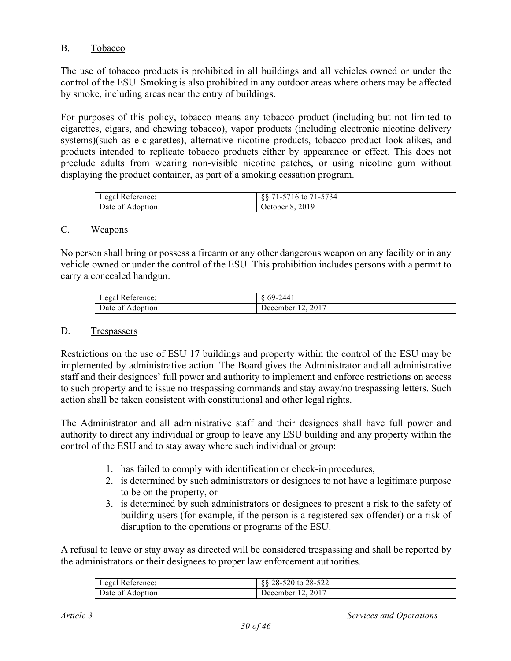# B. Tobacco

The use of tobacco products is prohibited in all buildings and all vehicles owned or under the control of the ESU. Smoking is also prohibited in any outdoor areas where others may be affected by smoke, including areas near the entry of buildings.

For purposes of this policy, tobacco means any tobacco product (including but not limited to cigarettes, cigars, and chewing tobacco), vapor products (including electronic nicotine delivery systems)(such as e-cigarettes), alternative nicotine products, tobacco product look-alikes, and products intended to replicate tobacco products either by appearance or effect. This does not preclude adults from wearing non-visible nicotine patches, or using nicotine gum without displaying the product container, as part of a smoking cessation program.

| Legal Reference:  | 88 71-5716 to 71-5734 |
|-------------------|-----------------------|
| Date of Adoption: | October 8, 2019       |

## C. Weapons

No person shall bring or possess a firearm or any other dangerous weapon on any facility or in any vehicle owned or under the control of the ESU. This prohibition includes persons with a permit to carry a concealed handgun.

| Legal Reference:  | -2441<br>$69-$    |
|-------------------|-------------------|
| Date of Adoption: | December 12, 2017 |

#### D. Trespassers

Restrictions on the use of ESU 17 buildings and property within the control of the ESU may be implemented by administrative action. The Board gives the Administrator and all administrative staff and their designees' full power and authority to implement and enforce restrictions on access to such property and to issue no trespassing commands and stay away/no trespassing letters. Such action shall be taken consistent with constitutional and other legal rights.

The Administrator and all administrative staff and their designees shall have full power and authority to direct any individual or group to leave any ESU building and any property within the control of the ESU and to stay away where such individual or group:

- 1. has failed to comply with identification or check-in procedures,
- 2. is determined by such administrators or designees to not have a legitimate purpose to be on the property, or
- 3. is determined by such administrators or designees to present a risk to the safety of building users (for example, if the person is a registered sex offender) or a risk of disruption to the operations or programs of the ESU.

A refusal to leave or stay away as directed will be considered trespassing and shall be reported by the administrators or their designees to proper law enforcement authorities.

| Legal Reference:  | §§ 28-520 to 28-522 |
|-------------------|---------------------|
| Date of Adoption: | December 12, 2017   |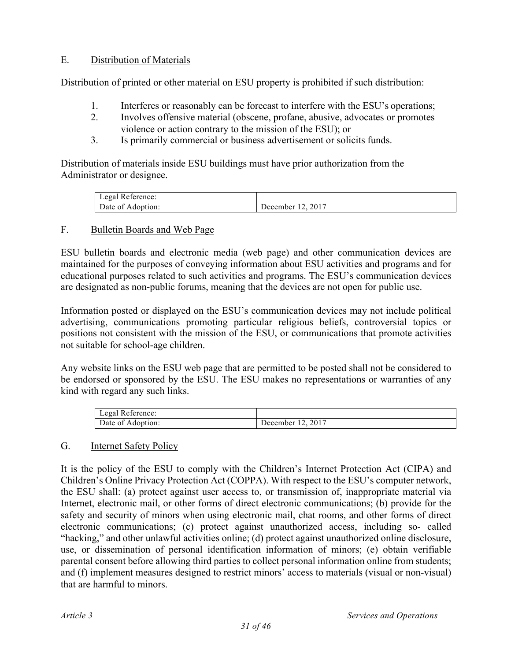# E. Distribution of Materials

Distribution of printed or other material on ESU property is prohibited if such distribution:

- 1. Interferes or reasonably can be forecast to interfere with the ESU's operations;
- 2. Involves offensive material (obscene, profane, abusive, advocates or promotes violence or action contrary to the mission of the ESU); or
- 3. Is primarily commercial or business advertisement or solicits funds.

Distribution of materials inside ESU buildings must have prior authorization from the Administrator or designee.

| Legal Reference:               |                   |
|--------------------------------|-------------------|
| Date of $\Lambda$<br>Adoption: | December 12, 2017 |

## F. Bulletin Boards and Web Page

ESU bulletin boards and electronic media (web page) and other communication devices are maintained for the purposes of conveying information about ESU activities and programs and for educational purposes related to such activities and programs. The ESU's communication devices are designated as non-public forums, meaning that the devices are not open for public use.

Information posted or displayed on the ESU's communication devices may not include political advertising, communications promoting particular religious beliefs, controversial topics or positions not consistent with the mission of the ESU, or communications that promote activities not suitable for school-age children.

Any website links on the ESU web page that are permitted to be posted shall not be considered to be endorsed or sponsored by the ESU. The ESU makes no representations or warranties of any kind with regard any such links.

| Legal Reference: |          |
|------------------|----------|
| Date of          | 2017     |
| Adoption:        | December |

## G. Internet Safety Policy

It is the policy of the ESU to comply with the Children's Internet Protection Act (CIPA) and Children's Online Privacy Protection Act (COPPA). With respect to the ESU's computer network, the ESU shall: (a) protect against user access to, or transmission of, inappropriate material via Internet, electronic mail, or other forms of direct electronic communications; (b) provide for the safety and security of minors when using electronic mail, chat rooms, and other forms of direct electronic communications; (c) protect against unauthorized access, including so- called "hacking," and other unlawful activities online; (d) protect against unauthorized online disclosure, use, or dissemination of personal identification information of minors; (e) obtain verifiable parental consent before allowing third parties to collect personal information online from students; and (f) implement measures designed to restrict minors' access to materials (visual or non-visual) that are harmful to minors.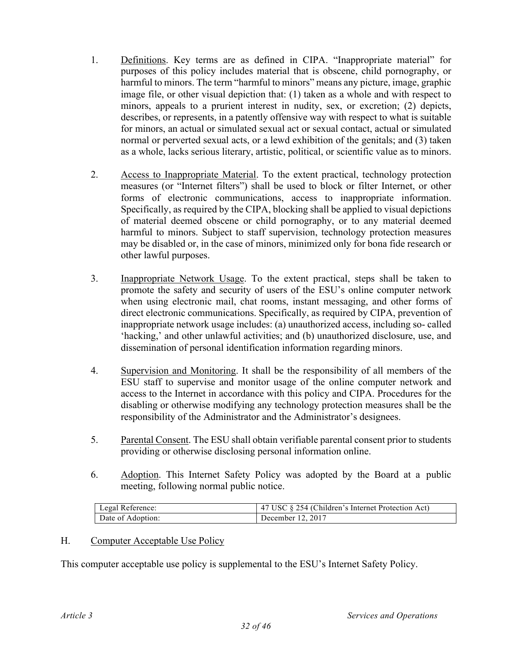- 1. Definitions. Key terms are as defined in CIPA. "Inappropriate material" for purposes of this policy includes material that is obscene, child pornography, or harmful to minors. The term "harmful to minors" means any picture, image, graphic image file, or other visual depiction that: (1) taken as a whole and with respect to minors, appeals to a prurient interest in nudity, sex, or excretion; (2) depicts, describes, or represents, in a patently offensive way with respect to what is suitable for minors, an actual or simulated sexual act or sexual contact, actual or simulated normal or perverted sexual acts, or a lewd exhibition of the genitals; and (3) taken as a whole, lacks serious literary, artistic, political, or scientific value as to minors.
- 2. Access to Inappropriate Material. To the extent practical, technology protection measures (or "Internet filters") shall be used to block or filter Internet, or other forms of electronic communications, access to inappropriate information. Specifically, as required by the CIPA, blocking shall be applied to visual depictions of material deemed obscene or child pornography, or to any material deemed harmful to minors. Subject to staff supervision, technology protection measures may be disabled or, in the case of minors, minimized only for bona fide research or other lawful purposes.
- 3. Inappropriate Network Usage. To the extent practical, steps shall be taken to promote the safety and security of users of the ESU's online computer network when using electronic mail, chat rooms, instant messaging, and other forms of direct electronic communications. Specifically, as required by CIPA, prevention of inappropriate network usage includes: (a) unauthorized access, including so- called 'hacking,' and other unlawful activities; and (b) unauthorized disclosure, use, and dissemination of personal identification information regarding minors.
- 4. Supervision and Monitoring. It shall be the responsibility of all members of the ESU staff to supervise and monitor usage of the online computer network and access to the Internet in accordance with this policy and CIPA. Procedures for the disabling or otherwise modifying any technology protection measures shall be the responsibility of the Administrator and the Administrator's designees.
- 5. Parental Consent. The ESU shall obtain verifiable parental consent prior to students providing or otherwise disclosing personal information online.
- 6. Adoption. This Internet Safety Policy was adopted by the Board at a public meeting, following normal public notice.

| Legal Reference:  | 47 USC § 254 (Children's Internet Protection Act) |
|-------------------|---------------------------------------------------|
| Date of Adoption: | December 12, 2017                                 |

## H. Computer Acceptable Use Policy

This computer acceptable use policy is supplemental to the ESU's Internet Safety Policy.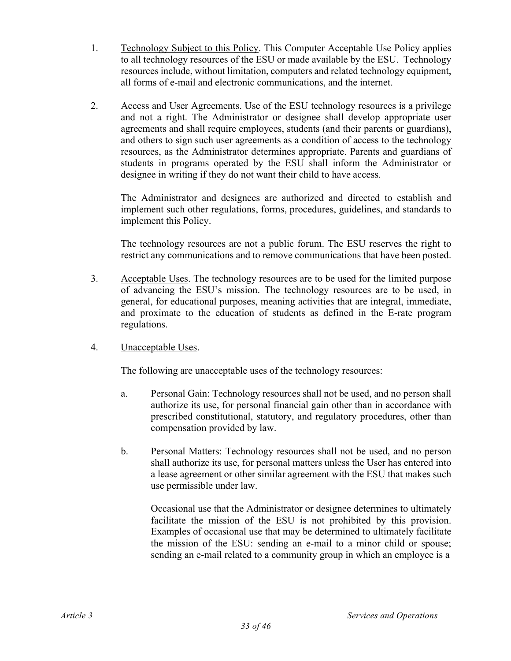- 1. Technology Subject to this Policy. This Computer Acceptable Use Policy applies to all technology resources of the ESU or made available by the ESU. Technology resources include, without limitation, computers and related technology equipment, all forms of e-mail and electronic communications, and the internet.
- 2. Access and User Agreements. Use of the ESU technology resources is a privilege and not a right. The Administrator or designee shall develop appropriate user agreements and shall require employees, students (and their parents or guardians), and others to sign such user agreements as a condition of access to the technology resources, as the Administrator determines appropriate. Parents and guardians of students in programs operated by the ESU shall inform the Administrator or designee in writing if they do not want their child to have access.

The Administrator and designees are authorized and directed to establish and implement such other regulations, forms, procedures, guidelines, and standards to implement this Policy.

The technology resources are not a public forum. The ESU reserves the right to restrict any communications and to remove communications that have been posted.

- 3. Acceptable Uses. The technology resources are to be used for the limited purpose of advancing the ESU's mission. The technology resources are to be used, in general, for educational purposes, meaning activities that are integral, immediate, and proximate to the education of students as defined in the E-rate program regulations.
- 4. Unacceptable Uses.

The following are unacceptable uses of the technology resources:

- a. Personal Gain: Technology resources shall not be used, and no person shall authorize its use, for personal financial gain other than in accordance with prescribed constitutional, statutory, and regulatory procedures, other than compensation provided by law.
- b. Personal Matters: Technology resources shall not be used, and no person shall authorize its use, for personal matters unless the User has entered into a lease agreement or other similar agreement with the ESU that makes such use permissible under law.

Occasional use that the Administrator or designee determines to ultimately facilitate the mission of the ESU is not prohibited by this provision. Examples of occasional use that may be determined to ultimately facilitate the mission of the ESU: sending an e-mail to a minor child or spouse; sending an e-mail related to a community group in which an employee is a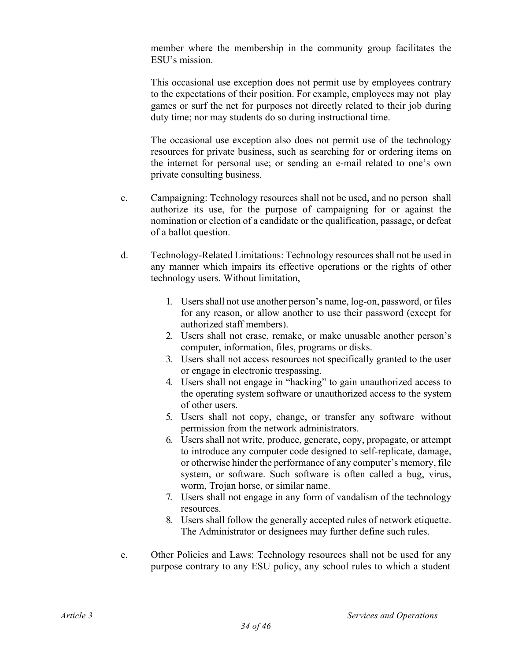member where the membership in the community group facilitates the ESU's mission.

This occasional use exception does not permit use by employees contrary to the expectations of their position. For example, employees may not play games or surf the net for purposes not directly related to their job during duty time; nor may students do so during instructional time.

The occasional use exception also does not permit use of the technology resources for private business, such as searching for or ordering items on the internet for personal use; or sending an e-mail related to one's own private consulting business.

- c. Campaigning: Technology resources shall not be used, and no person shall authorize its use, for the purpose of campaigning for or against the nomination or election of a candidate or the qualification, passage, or defeat of a ballot question.
- d. Technology-Related Limitations: Technology resources shall not be used in any manner which impairs its effective operations or the rights of other technology users. Without limitation,
	- 1. Users shall not use another person's name, log-on, password, or files for any reason, or allow another to use their password (except for authorized staff members).
	- 2. Users shall not erase, remake, or make unusable another person's computer, information, files, programs or disks.
	- 3. Users shall not access resources not specifically granted to the user or engage in electronic trespassing.
	- 4. Users shall not engage in "hacking" to gain unauthorized access to the operating system software or unauthorized access to the system of other users.
	- 5. Users shall not copy, change, or transfer any software without permission from the network administrators.
	- 6. Users shall not write, produce, generate, copy, propagate, or attempt to introduce any computer code designed to self-replicate, damage, or otherwise hinder the performance of any computer's memory, file system, or software. Such software is often called a bug, virus, worm, Trojan horse, or similar name.
	- 7. Users shall not engage in any form of vandalism of the technology resources.
	- 8. Users shall follow the generally accepted rules of network etiquette. The Administrator or designees may further define such rules.
- e. Other Policies and Laws: Technology resources shall not be used for any purpose contrary to any ESU policy, any school rules to which a student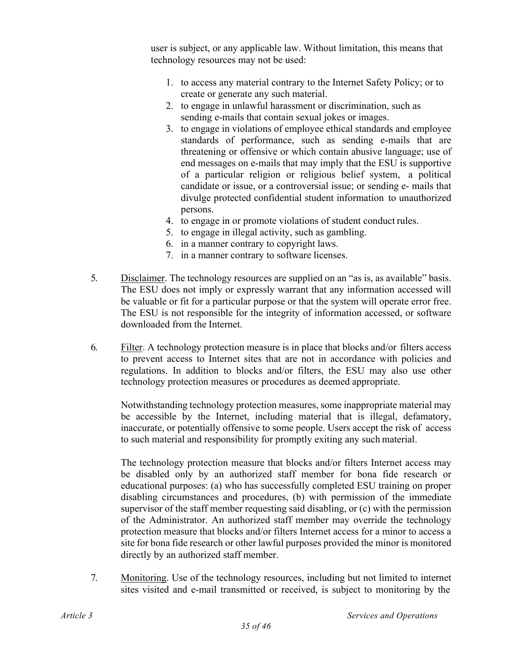user is subject, or any applicable law. Without limitation, this means that technology resources may not be used:

- 1. to access any material contrary to the Internet Safety Policy; or to create or generate any such material.
- 2. to engage in unlawful harassment or discrimination, such as sending e-mails that contain sexual jokes or images.
- 3. to engage in violations of employee ethical standards and employee standards of performance, such as sending e-mails that are threatening or offensive or which contain abusive language; use of end messages on e-mails that may imply that the ESU is supportive of a particular religion or religious belief system, a political candidate or issue, or a controversial issue; or sending e- mails that divulge protected confidential student information to unauthorized persons.
- 4. to engage in or promote violations of student conduct rules.
- 5. to engage in illegal activity, such as gambling.
- 6. in a manner contrary to copyright laws.
- 7. in a manner contrary to software licenses.
- 5. Disclaimer. The technology resources are supplied on an "as is, as available" basis. The ESU does not imply or expressly warrant that any information accessed will be valuable or fit for a particular purpose or that the system will operate error free. The ESU is not responsible for the integrity of information accessed, or software downloaded from the Internet.
- 6. Filter. A technology protection measure is in place that blocks and/or filters access to prevent access to Internet sites that are not in accordance with policies and regulations. In addition to blocks and/or filters, the ESU may also use other technology protection measures or procedures as deemed appropriate.

Notwithstanding technology protection measures, some inappropriate material may be accessible by the Internet, including material that is illegal, defamatory, inaccurate, or potentially offensive to some people. Users accept the risk of access to such material and responsibility for promptly exiting any such material.

The technology protection measure that blocks and/or filters Internet access may be disabled only by an authorized staff member for bona fide research or educational purposes: (a) who has successfully completed ESU training on proper disabling circumstances and procedures, (b) with permission of the immediate supervisor of the staff member requesting said disabling, or (c) with the permission of the Administrator. An authorized staff member may override the technology protection measure that blocks and/or filters Internet access for a minor to access a site for bona fide research or other lawful purposes provided the minor is monitored directly by an authorized staff member.

7. Monitoring. Use of the technology resources, including but not limited to internet sites visited and e-mail transmitted or received, is subject to monitoring by the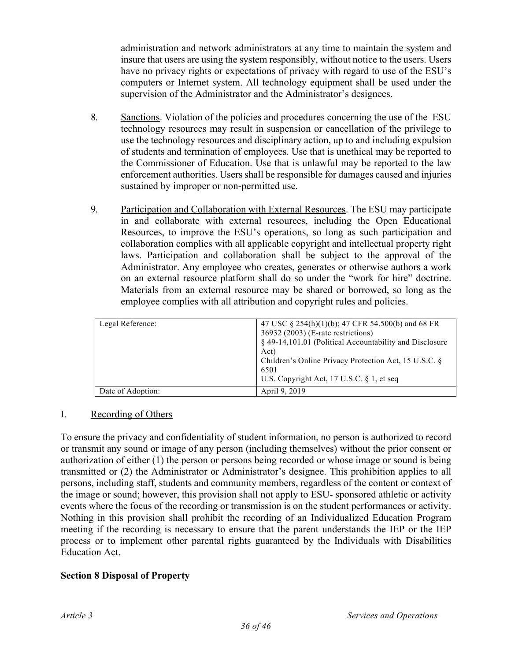administration and network administrators at any time to maintain the system and insure that users are using the system responsibly, without notice to the users. Users have no privacy rights or expectations of privacy with regard to use of the ESU's computers or Internet system. All technology equipment shall be used under the supervision of the Administrator and the Administrator's designees.

- 8. Sanctions. Violation of the policies and procedures concerning the use of the ESU technology resources may result in suspension or cancellation of the privilege to use the technology resources and disciplinary action, up to and including expulsion of students and termination of employees. Use that is unethical may be reported to the Commissioner of Education. Use that is unlawful may be reported to the law enforcement authorities. Users shall be responsible for damages caused and injuries sustained by improper or non-permitted use.
- 9. Participation and Collaboration with External Resources. The ESU may participate in and collaborate with external resources, including the Open Educational Resources, to improve the ESU's operations, so long as such participation and collaboration complies with all applicable copyright and intellectual property right laws. Participation and collaboration shall be subject to the approval of the Administrator. Any employee who creates, generates or otherwise authors a work on an external resource platform shall do so under the "work for hire" doctrine. Materials from an external resource may be shared or borrowed, so long as the employee complies with all attribution and copyright rules and policies.

| Legal Reference:  | 47 USC § 254(h)(1)(b); 47 CFR 54.500(b) and 68 FR<br>36932 (2003) (E-rate restrictions)<br>§ 49-14,101.01 (Political Accountability and Disclosure<br>Act)<br>Children's Online Privacy Protection Act, 15 U.S.C. §<br>6501<br>U.S. Copyright Act, 17 U.S.C. $\S$ 1, et seq |
|-------------------|-----------------------------------------------------------------------------------------------------------------------------------------------------------------------------------------------------------------------------------------------------------------------------|
| Date of Adoption: | April 9, 2019                                                                                                                                                                                                                                                               |

## I. Recording of Others

To ensure the privacy and confidentiality of student information, no person is authorized to record or transmit any sound or image of any person (including themselves) without the prior consent or authorization of either (1) the person or persons being recorded or whose image or sound is being transmitted or (2) the Administrator or Administrator's designee. This prohibition applies to all persons, including staff, students and community members, regardless of the content or context of the image or sound; however, this provision shall not apply to ESU- sponsored athletic or activity events where the focus of the recording or transmission is on the student performances or activity. Nothing in this provision shall prohibit the recording of an Individualized Education Program meeting if the recording is necessary to ensure that the parent understands the IEP or the IEP process or to implement other parental rights guaranteed by the Individuals with Disabilities Education Act.

## **Section 8 Disposal of Property**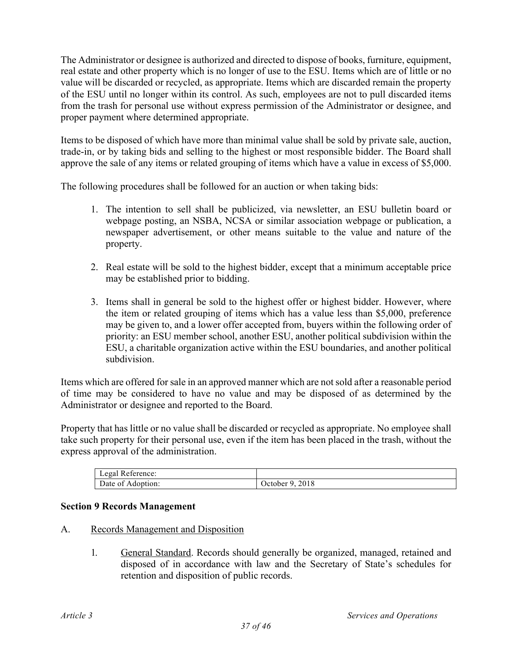The Administrator or designee is authorized and directed to dispose of books, furniture, equipment, real estate and other property which is no longer of use to the ESU. Items which are of little or no value will be discarded or recycled, as appropriate. Items which are discarded remain the property of the ESU until no longer within its control. As such, employees are not to pull discarded items from the trash for personal use without express permission of the Administrator or designee, and proper payment where determined appropriate.

Items to be disposed of which have more than minimal value shall be sold by private sale, auction, trade-in, or by taking bids and selling to the highest or most responsible bidder. The Board shall approve the sale of any items or related grouping of items which have a value in excess of \$5,000.

The following procedures shall be followed for an auction or when taking bids:

- 1. The intention to sell shall be publicized, via newsletter, an ESU bulletin board or webpage posting, an NSBA, NCSA or similar association webpage or publication, a newspaper advertisement, or other means suitable to the value and nature of the property.
- 2. Real estate will be sold to the highest bidder, except that a minimum acceptable price may be established prior to bidding.
- 3. Items shall in general be sold to the highest offer or highest bidder. However, where the item or related grouping of items which has a value less than \$5,000, preference may be given to, and a lower offer accepted from, buyers within the following order of priority: an ESU member school, another ESU, another political subdivision within the ESU, a charitable organization active within the ESU boundaries, and another political subdivision.

Items which are offered for sale in an approved manner which are not sold after a reasonable period of time may be considered to have no value and may be disposed of as determined by the Administrator or designee and reported to the Board.

Property that has little or no value shall be discarded or recycled as appropriate. No employee shall take such property for their personal use, even if the item has been placed in the trash, without the express approval of the administration.

| Legal Reference:  |                 |
|-------------------|-----------------|
| Date of Adoption: | October 9, 2018 |

## **Section 9 Records Management**

- A. Records Management and Disposition
	- 1. General Standard. Records should generally be organized, managed, retained and disposed of in accordance with law and the Secretary of State's schedules for retention and disposition of public records.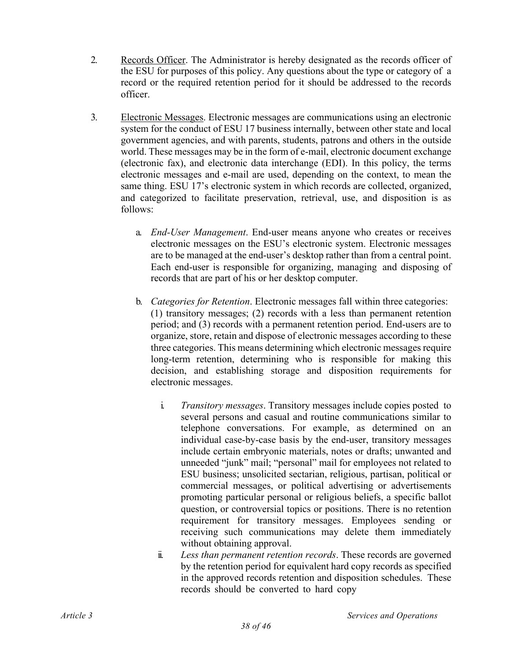- 2. Records Officer. The Administrator is hereby designated as the records officer of the ESU for purposes of this policy. Any questions about the type or category of a record or the required retention period for it should be addressed to the records officer.
- 3. Electronic Messages. Electronic messages are communications using an electronic system for the conduct of ESU 17 business internally, between other state and local government agencies, and with parents, students, patrons and others in the outside world. These messages may be in the form of e-mail, electronic document exchange (electronic fax), and electronic data interchange (EDI). In this policy, the terms electronic messages and e-mail are used, depending on the context, to mean the same thing. ESU 17's electronic system in which records are collected, organized, and categorized to facilitate preservation, retrieval, use, and disposition is as follows:
	- a. *End-User Management*. End-user means anyone who creates or receives electronic messages on the ESU's electronic system. Electronic messages are to be managed at the end-user's desktop rather than from a central point. Each end-user is responsible for organizing, managing and disposing of records that are part of his or her desktop computer.
	- b. *Categories for Retention*. Electronic messages fall within three categories: (1) transitory messages; (2) records with a less than permanent retention period; and (3) records with a permanent retention period. End-users are to organize, store, retain and dispose of electronic messages according to these three categories. This means determining which electronic messages require long-term retention, determining who is responsible for making this decision, and establishing storage and disposition requirements for electronic messages.
		- i. *Transitory messages*. Transitory messages include copies posted to several persons and casual and routine communications similar to telephone conversations. For example, as determined on an individual case-by-case basis by the end-user, transitory messages include certain embryonic materials, notes or drafts; unwanted and unneeded "junk" mail; "personal" mail for employees not related to ESU business; unsolicited sectarian, religious, partisan, political or commercial messages, or political advertising or advertisements promoting particular personal or religious beliefs, a specific ballot question, or controversial topics or positions. There is no retention requirement for transitory messages. Employees sending or receiving such communications may delete them immediately without obtaining approval.
		- ii. *Less than permanent retention records*. These records are governed by the retention period for equivalent hard copy records as specified in the approved records retention and disposition schedules. These records should be converted to hard copy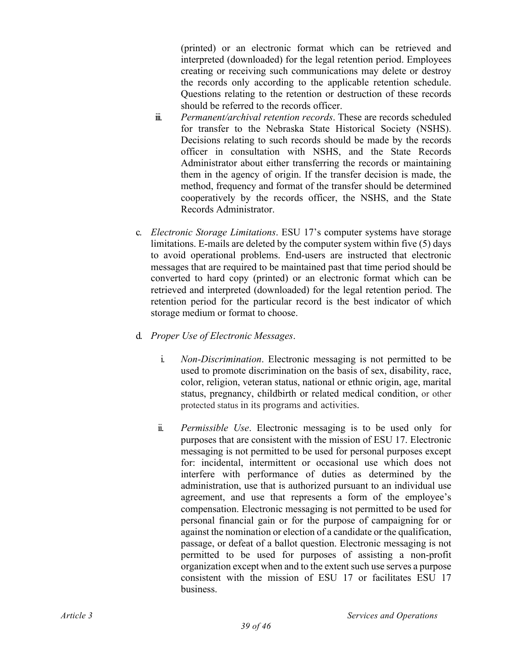(printed) or an electronic format which can be retrieved and interpreted (downloaded) for the legal retention period. Employees creating or receiving such communications may delete or destroy the records only according to the applicable retention schedule. Questions relating to the retention or destruction of these records should be referred to the records officer.

- iii. *Permanent/archival retention records*. These are records scheduled for transfer to the Nebraska State Historical Society (NSHS). Decisions relating to such records should be made by the records officer in consultation with NSHS, and the State Records Administrator about either transferring the records or maintaining them in the agency of origin. If the transfer decision is made, the method, frequency and format of the transfer should be determined cooperatively by the records officer, the NSHS, and the State Records Administrator.
- c. *Electronic Storage Limitations*. ESU 17's computer systems have storage limitations. E-mails are deleted by the computer system within five (5) days to avoid operational problems. End-users are instructed that electronic messages that are required to be maintained past that time period should be converted to hard copy (printed) or an electronic format which can be retrieved and interpreted (downloaded) for the legal retention period. The retention period for the particular record is the best indicator of which storage medium or format to choose.
- d. *Proper Use of Electronic Messages*.
	- i. *Non-Discrimination*. Electronic messaging is not permitted to be used to promote discrimination on the basis of sex, disability, race, color, religion, veteran status, national or ethnic origin, age, marital status, pregnancy, childbirth or related medical condition, or other protected status in its programs and activities.
	- ii. *Permissible Use*. Electronic messaging is to be used only for purposes that are consistent with the mission of ESU 17. Electronic messaging is not permitted to be used for personal purposes except for: incidental, intermittent or occasional use which does not interfere with performance of duties as determined by the administration, use that is authorized pursuant to an individual use agreement, and use that represents a form of the employee's compensation. Electronic messaging is not permitted to be used for personal financial gain or for the purpose of campaigning for or against the nomination or election of a candidate or the qualification, passage, or defeat of a ballot question. Electronic messaging is not permitted to be used for purposes of assisting a non-profit organization except when and to the extent such use serves a purpose consistent with the mission of ESU 17 or facilitates ESU 17 business.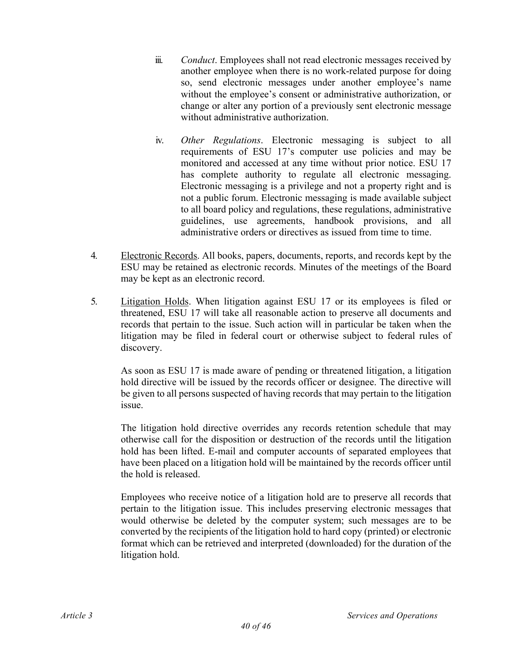- iii. *Conduct*. Employees shall not read electronic messages received by another employee when there is no work-related purpose for doing so, send electronic messages under another employee's name without the employee's consent or administrative authorization, or change or alter any portion of a previously sent electronic message without administrative authorization.
- iv. *Other Regulations*. Electronic messaging is subject to all requirements of ESU 17's computer use policies and may be monitored and accessed at any time without prior notice. ESU 17 has complete authority to regulate all electronic messaging. Electronic messaging is a privilege and not a property right and is not a public forum. Electronic messaging is made available subject to all board policy and regulations, these regulations, administrative guidelines, use agreements, handbook provisions, and all administrative orders or directives as issued from time to time.
- 4. Electronic Records. All books, papers, documents, reports, and records kept by the ESU may be retained as electronic records. Minutes of the meetings of the Board may be kept as an electronic record.
- 5. Litigation Holds. When litigation against ESU 17 or its employees is filed or threatened, ESU 17 will take all reasonable action to preserve all documents and records that pertain to the issue. Such action will in particular be taken when the litigation may be filed in federal court or otherwise subject to federal rules of discovery.

As soon as ESU 17 is made aware of pending or threatened litigation, a litigation hold directive will be issued by the records officer or designee. The directive will be given to all persons suspected of having records that may pertain to the litigation issue.

The litigation hold directive overrides any records retention schedule that may otherwise call for the disposition or destruction of the records until the litigation hold has been lifted. E-mail and computer accounts of separated employees that have been placed on a litigation hold will be maintained by the records officer until the hold is released.

Employees who receive notice of a litigation hold are to preserve all records that pertain to the litigation issue. This includes preserving electronic messages that would otherwise be deleted by the computer system; such messages are to be converted by the recipients of the litigation hold to hard copy (printed) or electronic format which can be retrieved and interpreted (downloaded) for the duration of the litigation hold.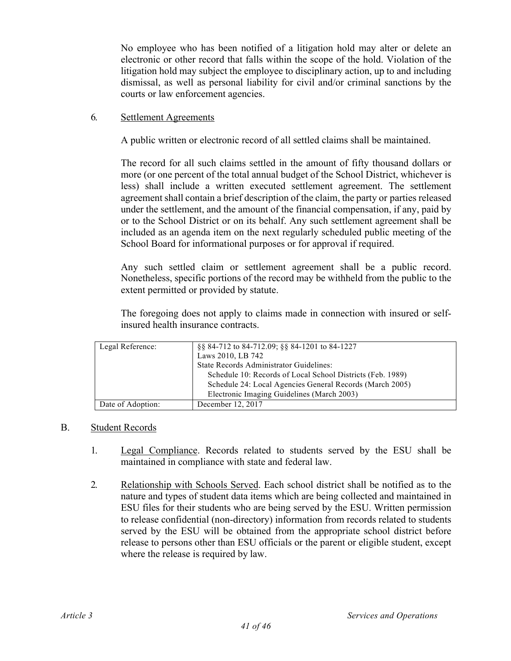No employee who has been notified of a litigation hold may alter or delete an electronic or other record that falls within the scope of the hold. Violation of the litigation hold may subject the employee to disciplinary action, up to and including dismissal, as well as personal liability for civil and/or criminal sanctions by the courts or law enforcement agencies.

## 6. Settlement Agreements

A public written or electronic record of all settled claims shall be maintained.

The record for all such claims settled in the amount of fifty thousand dollars or more (or one percent of the total annual budget of the School District, whichever is less) shall include a written executed settlement agreement. The settlement agreement shall contain a brief description of the claim, the party or parties released under the settlement, and the amount of the financial compensation, if any, paid by or to the School District or on its behalf. Any such settlement agreement shall be included as an agenda item on the next regularly scheduled public meeting of the School Board for informational purposes or for approval if required.

Any such settled claim or settlement agreement shall be a public record. Nonetheless, specific portions of the record may be withheld from the public to the extent permitted or provided by statute.

The foregoing does not apply to claims made in connection with insured or selfinsured health insurance contracts.

| Legal Reference:  | §§ 84-712 to 84-712.09; §§ 84-1201 to 84-1227              |
|-------------------|------------------------------------------------------------|
|                   | Laws 2010, LB 742                                          |
|                   | State Records Administrator Guidelines:                    |
|                   | Schedule 10: Records of Local School Districts (Feb. 1989) |
|                   | Schedule 24: Local Agencies General Records (March 2005)   |
|                   | Electronic Imaging Guidelines (March 2003)                 |
| Date of Adoption: | December 12, 2017                                          |

#### B. Student Records

- 1. Legal Compliance. Records related to students served by the ESU shall be maintained in compliance with state and federal law.
- 2. Relationship with Schools Served. Each school district shall be notified as to the nature and types of student data items which are being collected and maintained in ESU files for their students who are being served by the ESU. Written permission to release confidential (non-directory) information from records related to students served by the ESU will be obtained from the appropriate school district before release to persons other than ESU officials or the parent or eligible student, except where the release is required by law.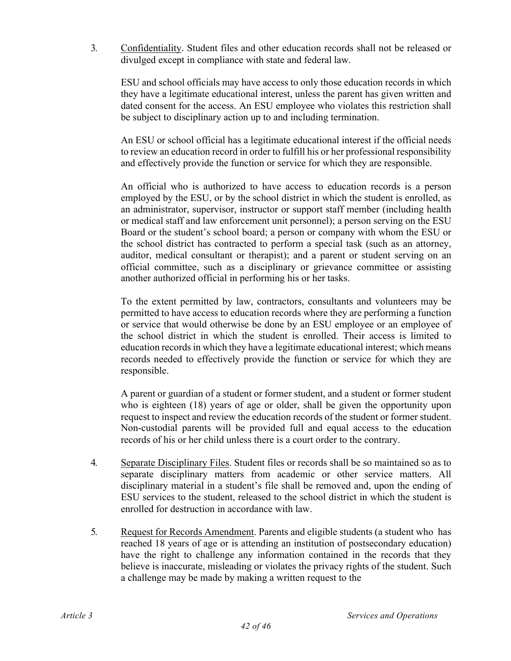3. Confidentiality. Student files and other education records shall not be released or divulged except in compliance with state and federal law.

ESU and school officials may have access to only those education records in which they have a legitimate educational interest, unless the parent has given written and dated consent for the access. An ESU employee who violates this restriction shall be subject to disciplinary action up to and including termination.

An ESU or school official has a legitimate educational interest if the official needs to review an education record in order to fulfill his or her professional responsibility and effectively provide the function or service for which they are responsible.

An official who is authorized to have access to education records is a person employed by the ESU, or by the school district in which the student is enrolled, as an administrator, supervisor, instructor or support staff member (including health or medical staff and law enforcement unit personnel); a person serving on the ESU Board or the student's school board; a person or company with whom the ESU or the school district has contracted to perform a special task (such as an attorney, auditor, medical consultant or therapist); and a parent or student serving on an official committee, such as a disciplinary or grievance committee or assisting another authorized official in performing his or her tasks.

To the extent permitted by law, contractors, consultants and volunteers may be permitted to have access to education records where they are performing a function or service that would otherwise be done by an ESU employee or an employee of the school district in which the student is enrolled. Their access is limited to education records in which they have a legitimate educational interest; which means records needed to effectively provide the function or service for which they are responsible.

A parent or guardian of a student or former student, and a student or former student who is eighteen (18) years of age or older, shall be given the opportunity upon request to inspect and review the education records of the student or former student. Non-custodial parents will be provided full and equal access to the education records of his or her child unless there is a court order to the contrary.

- 4. Separate Disciplinary Files. Student files or records shall be so maintained so as to separate disciplinary matters from academic or other service matters. All disciplinary material in a student's file shall be removed and, upon the ending of ESU services to the student, released to the school district in which the student is enrolled for destruction in accordance with law.
- 5. Request for Records Amendment. Parents and eligible students (a student who has reached 18 years of age or is attending an institution of postsecondary education) have the right to challenge any information contained in the records that they believe is inaccurate, misleading or violates the privacy rights of the student. Such a challenge may be made by making a written request to the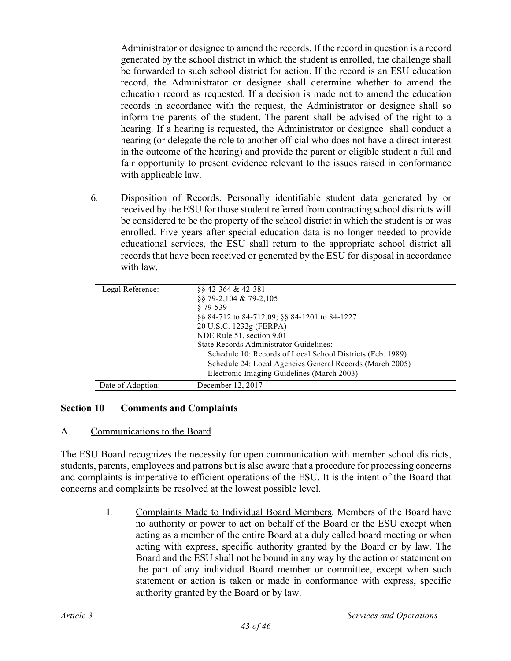Administrator or designee to amend the records. If the record in question is a record generated by the school district in which the student is enrolled, the challenge shall be forwarded to such school district for action. If the record is an ESU education record, the Administrator or designee shall determine whether to amend the education record as requested. If a decision is made not to amend the education records in accordance with the request, the Administrator or designee shall so inform the parents of the student. The parent shall be advised of the right to a hearing. If a hearing is requested, the Administrator or designee shall conduct a hearing (or delegate the role to another official who does not have a direct interest in the outcome of the hearing) and provide the parent or eligible student a full and fair opportunity to present evidence relevant to the issues raised in conformance with applicable law.

6. Disposition of Records. Personally identifiable student data generated by or received by the ESU for those student referred from contracting school districts will be considered to be the property of the school district in which the student is or was enrolled. Five years after special education data is no longer needed to provide educational services, the ESU shall return to the appropriate school district all records that have been received or generated by the ESU for disposal in accordance with law.

| Legal Reference:  | 88 42-364 & 42-381                                         |
|-------------------|------------------------------------------------------------|
|                   | 88 79-2,104 & 79-2,105                                     |
|                   | $$79-539$                                                  |
|                   | §§ 84-712 to 84-712.09; §§ 84-1201 to 84-1227              |
|                   | 20 U.S.C. 1232g (FERPA)                                    |
|                   | NDE Rule 51, section 9.01                                  |
|                   | State Records Administrator Guidelines:                    |
|                   | Schedule 10: Records of Local School Districts (Feb. 1989) |
|                   | Schedule 24: Local Agencies General Records (March 2005)   |
|                   | Electronic Imaging Guidelines (March 2003)                 |
| Date of Adoption: | December 12, 2017                                          |

#### **Section 10 Comments and Complaints**

#### A. Communications to the Board

The ESU Board recognizes the necessity for open communication with member school districts, students, parents, employees and patrons but is also aware that a procedure for processing concerns and complaints is imperative to efficient operations of the ESU. It is the intent of the Board that concerns and complaints be resolved at the lowest possible level.

> 1. Complaints Made to Individual Board Members. Members of the Board have no authority or power to act on behalf of the Board or the ESU except when acting as a member of the entire Board at a duly called board meeting or when acting with express, specific authority granted by the Board or by law. The Board and the ESU shall not be bound in any way by the action or statement on the part of any individual Board member or committee, except when such statement or action is taken or made in conformance with express, specific authority granted by the Board or by law.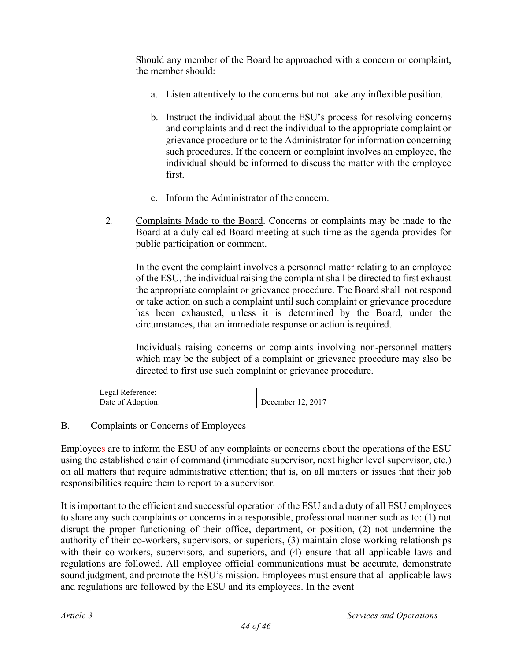Should any member of the Board be approached with a concern or complaint, the member should:

- a. Listen attentively to the concerns but not take any inflexible position.
- b. Instruct the individual about the ESU's process for resolving concerns and complaints and direct the individual to the appropriate complaint or grievance procedure or to the Administrator for information concerning such procedures. If the concern or complaint involves an employee, the individual should be informed to discuss the matter with the employee first.
- c. Inform the Administrator of the concern.
- 2. Complaints Made to the Board. Concerns or complaints may be made to the Board at a duly called Board meeting at such time as the agenda provides for public participation or comment.

In the event the complaint involves a personnel matter relating to an employee of the ESU, the individual raising the complaint shall be directed to first exhaust the appropriate complaint or grievance procedure. The Board shall not respond or take action on such a complaint until such complaint or grievance procedure has been exhausted, unless it is determined by the Board, under the circumstances, that an immediate response or action is required.

Individuals raising concerns or complaints involving non-personnel matters which may be the subject of a complaint or grievance procedure may also be directed to first use such complaint or grievance procedure.

| egal<br>Reference: |          |
|--------------------|----------|
| Date of            | 12, 2017 |
| Adoption:          | ⊃ecember |

## B. Complaints or Concerns of Employees

Employees are to inform the ESU of any complaints or concerns about the operations of the ESU using the established chain of command (immediate supervisor, next higher level supervisor, etc.) on all matters that require administrative attention; that is, on all matters or issues that their job responsibilities require them to report to a supervisor.

It is important to the efficient and successful operation of the ESU and a duty of all ESU employees to share any such complaints or concerns in a responsible, professional manner such as to: (1) not disrupt the proper functioning of their office, department, or position, (2) not undermine the authority of their co-workers, supervisors, or superiors, (3) maintain close working relationships with their co-workers, supervisors, and superiors, and (4) ensure that all applicable laws and regulations are followed. All employee official communications must be accurate, demonstrate sound judgment, and promote the ESU's mission. Employees must ensure that all applicable laws and regulations are followed by the ESU and its employees. In the event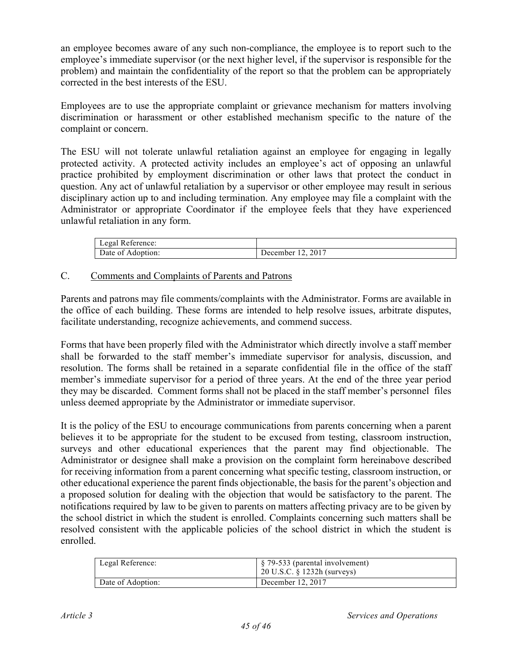an employee becomes aware of any such non-compliance, the employee is to report such to the employee's immediate supervisor (or the next higher level, if the supervisor is responsible for the problem) and maintain the confidentiality of the report so that the problem can be appropriately corrected in the best interests of the ESU.

Employees are to use the appropriate complaint or grievance mechanism for matters involving discrimination or harassment or other established mechanism specific to the nature of the complaint or concern.

The ESU will not tolerate unlawful retaliation against an employee for engaging in legally protected activity. A protected activity includes an employee's act of opposing an unlawful practice prohibited by employment discrimination or other laws that protect the conduct in question. Any act of unlawful retaliation by a supervisor or other employee may result in serious disciplinary action up to and including termination. Any employee may file a complaint with the Administrator or appropriate Coordinator if the employee feels that they have experienced unlawful retaliation in any form.

| $\overline{\phantom{a}}$<br>Legal<br>Reference: |          |
|-------------------------------------------------|----------|
| Date of $\beta$                                 | 2017     |
| Adoption:                                       | December |

## C. Comments and Complaints of Parents and Patrons

Parents and patrons may file comments/complaints with the Administrator. Forms are available in the office of each building. These forms are intended to help resolve issues, arbitrate disputes, facilitate understanding, recognize achievements, and commend success.

Forms that have been properly filed with the Administrator which directly involve a staff member shall be forwarded to the staff member's immediate supervisor for analysis, discussion, and resolution. The forms shall be retained in a separate confidential file in the office of the staff member's immediate supervisor for a period of three years. At the end of the three year period they may be discarded. Comment forms shall not be placed in the staff member's personnel files unless deemed appropriate by the Administrator or immediate supervisor.

It is the policy of the ESU to encourage communications from parents concerning when a parent believes it to be appropriate for the student to be excused from testing, classroom instruction, surveys and other educational experiences that the parent may find objectionable. The Administrator or designee shall make a provision on the complaint form hereinabove described for receiving information from a parent concerning what specific testing, classroom instruction, or other educational experience the parent finds objectionable, the basis for the parent's objection and a proposed solution for dealing with the objection that would be satisfactory to the parent. The notifications required by law to be given to parents on matters affecting privacy are to be given by the school district in which the student is enrolled. Complaints concerning such matters shall be resolved consistent with the applicable policies of the school district in which the student is enrolled.

| Legal Reference:  | $\frac{1}{2}$ \$ 79-533 (parental involvement)<br>$20$ U.S.C. § 1232h (surveys) |
|-------------------|---------------------------------------------------------------------------------|
| Date of Adoption: | December 12, 2017                                                               |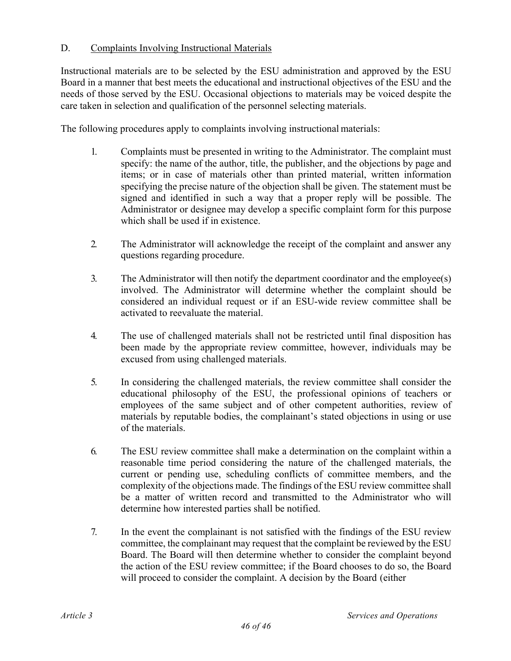# D. Complaints Involving Instructional Materials

Instructional materials are to be selected by the ESU administration and approved by the ESU Board in a manner that best meets the educational and instructional objectives of the ESU and the needs of those served by the ESU. Occasional objections to materials may be voiced despite the care taken in selection and qualification of the personnel selecting materials.

The following procedures apply to complaints involving instructional materials:

- 1. Complaints must be presented in writing to the Administrator. The complaint must specify: the name of the author, title, the publisher, and the objections by page and items; or in case of materials other than printed material, written information specifying the precise nature of the objection shall be given. The statement must be signed and identified in such a way that a proper reply will be possible. The Administrator or designee may develop a specific complaint form for this purpose which shall be used if in existence.
- 2. The Administrator will acknowledge the receipt of the complaint and answer any questions regarding procedure.
- 3. The Administrator will then notify the department coordinator and the employee(s) involved. The Administrator will determine whether the complaint should be considered an individual request or if an ESU-wide review committee shall be activated to reevaluate the material.
- 4. The use of challenged materials shall not be restricted until final disposition has been made by the appropriate review committee, however, individuals may be excused from using challenged materials.
- 5. In considering the challenged materials, the review committee shall consider the educational philosophy of the ESU, the professional opinions of teachers or employees of the same subject and of other competent authorities, review of materials by reputable bodies, the complainant's stated objections in using or use of the materials.
- 6. The ESU review committee shall make a determination on the complaint within a reasonable time period considering the nature of the challenged materials, the current or pending use, scheduling conflicts of committee members, and the complexity of the objections made. The findings of the ESU review committee shall be a matter of written record and transmitted to the Administrator who will determine how interested parties shall be notified.
- 7. In the event the complainant is not satisfied with the findings of the ESU review committee, the complainant may request that the complaint be reviewed by the ESU Board. The Board will then determine whether to consider the complaint beyond the action of the ESU review committee; if the Board chooses to do so, the Board will proceed to consider the complaint. A decision by the Board (either